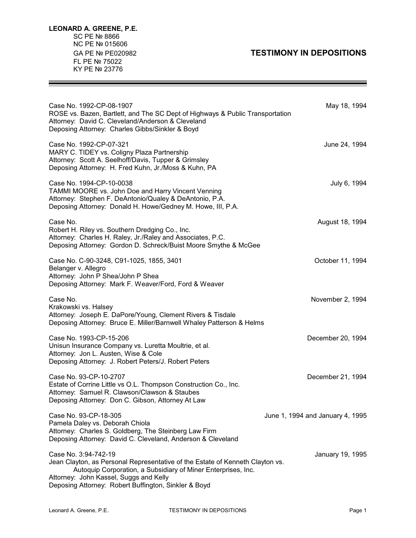## GA PE Nº PE020982 **TESTIMONY IN DEPOSITIONS**

Ξ

| Case No. 1992-CP-08-1907<br>ROSE vs. Bazen, Bartlett, and The SC Dept of Highways & Public Transportation<br>Attorney: David C. Cleveland/Anderson & Cleveland<br>Deposing Attorney: Charles Gibbs/Sinkler & Boyd                                                        | May 18, 1994                     |
|--------------------------------------------------------------------------------------------------------------------------------------------------------------------------------------------------------------------------------------------------------------------------|----------------------------------|
| Case No. 1992-CP-07-321<br>MARY C. TIDEY vs. Coligny Plaza Partnership<br>Attorney: Scott A. Seelhoff/Davis, Tupper & Grimsley<br>Deposing Attorney: H. Fred Kuhn, Jr./Moss & Kuhn, PA                                                                                   | June 24, 1994                    |
| Case No. 1994-CP-10-0038<br>TAMMI MOORE vs. John Doe and Harry Vincent Venning<br>Attorney: Stephen F. DeAntonio/Qualey & DeAntonio, P.A.<br>Deposing Attorney: Donald H. Howe/Gedney M. Howe, III, P.A.                                                                 | July 6, 1994                     |
| Case No.<br>Robert H. Riley vs. Southern Dredging Co., Inc.<br>Attorney: Charles H. Raley, Jr./Raley and Associates, P.C.<br>Deposing Attorney: Gordon D. Schreck/Buist Moore Smythe & McGee                                                                             | August 18, 1994                  |
| Case No. C-90-3248, C91-1025, 1855, 3401<br>Belanger v. Allegro<br>Attorney: John P Shea/John P Shea<br>Deposing Attorney: Mark F. Weaver/Ford, Ford & Weaver                                                                                                            | October 11, 1994                 |
| Case No.<br>Krakowski vs. Halsey<br>Attorney: Joseph E. DaPore/Young, Clement Rivers & Tisdale<br>Deposing Attorney: Bruce E. Miller/Barnwell Whaley Patterson & Helms                                                                                                   | November 2, 1994                 |
| Case No. 1993-CP-15-206<br>Unisun Insurance Company vs. Luretta Moultrie, et al.<br>Attorney: Jon L. Austen, Wise & Cole<br>Deposing Attorney: J. Robert Peters/J. Robert Peters                                                                                         | December 20, 1994                |
| Case No. 93-CP-10-2707<br>Estate of Corrine Little vs O.L. Thompson Construction Co., Inc.<br>Attorney: Samuel R. Clawson/Clawson & Staubes<br>Deposing Attorney: Don C. Gibson, Attorney At Law                                                                         | December 21, 1994                |
| Case No. 93-CP-18-305<br>Pamela Daley vs. Deborah Chiola<br>Attorney: Charles S. Goldberg, The Steinberg Law Firm<br>Deposing Attorney: David C. Cleveland, Anderson & Cleveland                                                                                         | June 1, 1994 and January 4, 1995 |
| Case No. 3:94-742-19<br>Jean Clayton, as Personal Representative of the Estate of Kenneth Clayton vs.<br>Autoquip Corporation, a Subsidiary of Miner Enterprises, Inc.<br>Attorney: John Kassel, Suggs and Kelly<br>Deposing Attorney: Robert Buffington, Sinkler & Boyd | January 19, 1995                 |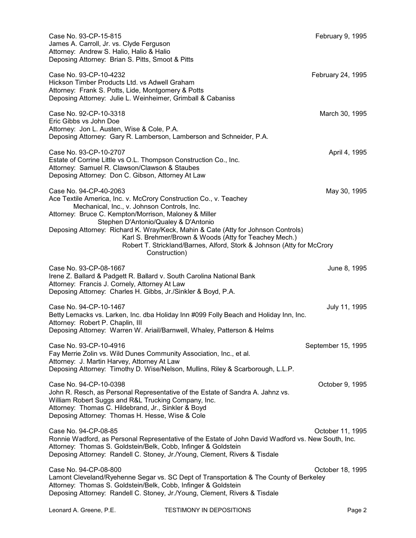| Case No. 93-CP-15-815<br>James A. Carroll, Jr. vs. Clyde Ferguson<br>Attorney: Andrew S. Halio, Halio & Halio<br>Deposing Attorney: Brian S. Pitts, Smoot & Pitts                                                                                                                                                                                                                                                                                                                     | February 9, 1995   |
|---------------------------------------------------------------------------------------------------------------------------------------------------------------------------------------------------------------------------------------------------------------------------------------------------------------------------------------------------------------------------------------------------------------------------------------------------------------------------------------|--------------------|
| Case No. 93-CP-10-4232<br>Hickson Timber Products Ltd. vs Adwell Graham<br>Attorney: Frank S. Potts, Lide, Montgomery & Potts<br>Deposing Attorney: Julie L. Weinheimer, Grimball & Cabaniss                                                                                                                                                                                                                                                                                          | February 24, 1995  |
| Case No. 92-CP-10-3318<br>Eric Gibbs vs John Doe<br>Attorney: Jon L. Austen, Wise & Cole, P.A.<br>Deposing Attorney: Gary R. Lamberson, Lamberson and Schneider, P.A.                                                                                                                                                                                                                                                                                                                 | March 30, 1995     |
| Case No. 93-CP-10-2707<br>Estate of Corrine Little vs O.L. Thompson Construction Co., Inc.<br>Attorney: Samuel R. Clawson/Clawson & Staubes<br>Deposing Attorney: Don C. Gibson, Attorney At Law                                                                                                                                                                                                                                                                                      | April 4, 1995      |
| Case No. 94-CP-40-2063<br>Ace Textile America, Inc. v. McCrory Construction Co., v. Teachey<br>Mechanical, Inc., v. Johnson Controls, Inc.<br>Attorney: Bruce C. Kempton/Morrison, Maloney & Miller<br>Stephen D'Antonio/Qualey & D'Antonio<br>Deposing Attorney: Richard K. Wray/Keck, Mahin & Cate (Atty for Johnson Controls)<br>Karl S. Brehmer/Brown & Woods (Atty for Teachey Mech.)<br>Robert T. Strickland/Barnes, Alford, Stork & Johnson (Atty for McCrory<br>Construction) | May 30, 1995       |
| Case No. 93-CP-08-1667<br>Irene Z. Ballard & Padgett R. Ballard v. South Carolina National Bank<br>Attorney: Francis J. Cornely, Attorney At Law<br>Deposing Attorney: Charles H. Gibbs, Jr./Sinkler & Boyd, P.A.                                                                                                                                                                                                                                                                     | June 8, 1995       |
| Case No. 94-CP-10-1467<br>Betty Lemacks vs. Larken, Inc. dba Holiday Inn #099 Folly Beach and Holiday Inn, Inc.<br>Attorney: Robert P. Chaplin, III<br>Deposing Attorney: Warren W. Ariail/Barnwell, Whaley, Patterson & Helms                                                                                                                                                                                                                                                        | July 11, 1995      |
| Case No. 93-CP-10-4916<br>Fay Merrie Zolin vs. Wild Dunes Community Association, Inc., et al.<br>Attorney: J. Martin Harvey, Attorney At Law<br>Deposing Attorney: Timothy D. Wise/Nelson, Mullins, Riley & Scarborough, L.L.P.                                                                                                                                                                                                                                                       | September 15, 1995 |
| Case No. 94-CP-10-0398<br>John R. Resch, as Personal Representative of the Estate of Sandra A. Jahnz vs.<br>William Robert Suggs and R&L Trucking Company, Inc.<br>Attorney: Thomas C. Hildebrand, Jr., Sinkler & Boyd<br>Deposing Attorney: Thomas H. Hesse, Wise & Cole                                                                                                                                                                                                             | October 9, 1995    |
| Case No. 94-CP-08-85<br>Ronnie Wadford, as Personal Representative of the Estate of John David Wadford vs. New South, Inc.<br>Attorney: Thomas S. Goldstein/Belk, Cobb, Infinger & Goldstein<br>Deposing Attorney: Randell C. Stoney, Jr./Young, Clement, Rivers & Tisdale                                                                                                                                                                                                            | October 11, 1995   |
| Case No. 94-CP-08-800<br>Lamont Cleveland/Ryehenne Segar vs. SC Dept of Transportation & The County of Berkeley<br>Attorney: Thomas S. Goldstein/Belk, Cobb, Infinger & Goldstein<br>Deposing Attorney: Randell C. Stoney, Jr./Young, Clement, Rivers & Tisdale                                                                                                                                                                                                                       | October 18, 1995   |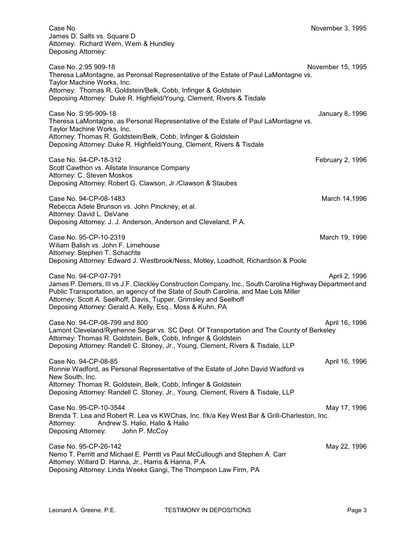Case No. November 3, 1995 James D. Salts vs. Square D Attorney: Richard Wern, Wern & Hundley Deposing Attorney:

Case No. 2:95 909-18 November 15, 1995 Theresa LaMontagne, as Peronsal Representative of the Estate of Paul LaMontagne vs. Taylor Machine Works, Inc. Attorney: Thomas R. Goldstein/Belk, Cobb, Infinger & Goldstein Deposing Attorney: Duke R. Highfield/Young, Clement, Rivers & Tisdale

Case No. S:95-909-18 January 8, 1996 Theresa LaMontagne, as Personal Representative of the Estate of Paul LaMontagne vs. Taylor Machine Works, Inc. Attorney: Thomas R. Goldstein/Belk, Cobb, Infinger & Goldstein Deposing Attorney: Duke R. Highfield/Young, Clement, Rivers & Tisdale

Case No. 94-CP-18-312 **February 2, 1996** Case No. 94-CP-18-312 Scott Cawthon vs. Allstate Insurance Company Attorney: C. Steven Moskos Deposing Attorney: Robert G. Clawson, Jr./Clawson & Staubes

Case No. 94-CP-08-1483 **March 14,1996** March 14,1996 Rebecca Adele Brunson vs. John Pinckney, et al. Attorney: David L. DeVane Deposing Attorney: J. J. Anderson, Anderson and Cleveland, P.A.

Case No. 95-CP-10-2319 March 19, 1996 Wiliam Balish vs. John F. Limehouse Attorney: Stephen T. Schachte Deposing Attorney: Edward J. Westbrook/Ness, Motley, Loadholt, Richardson & Poole

Case No. 94-CP-07-791 April 2, 1996 James P. Demers, III vs J.F. Cleckley Construction Company, Inc., South Carolina Highway Department and Public Transportation, an agency of the State of South Carolina, and Mae Lois Miller Attorney: Scott A. Seelhoff, Davis, Tupper, Grimsley and Seelhoff Deposing Attorney: Gerald A. Kelly, Esq., Moss & Kuhn, PA

Case No. 94-CP-08-799 and 800 April 16, 1996 Lamont Cleveland/Ryehenne Segar vs. SC Dept. Of Transportation and The County of Berkeley Attorney: Thomas R. Goldstein, Belk, Cobb, Infinger & Goldstein Deposing Attorney: Randell C. Stoney, Jr., Young, Clement, Rivers & Tisdale, LLP

Case No. 94-CP-08-85 **April 16, 1996** Ronnie Wadford, as Personal Representative of the Estate of John David Wadford vs New South, Inc. Attorney: Thomas R. Goldstein, Belk, Cobb, Infinger & Goldstein Deposing Attorney: Randell C. Stoney, Jr., Young, Clement, Rivers & Tisdale, LLP

Case No. 95-CP-10-3544 **May 17, 1996** Case No. 95-CP-10-3544 Brenda T. Lea and Robert R. Lea vs KWChas, Inc. f/k/a Key West Bar & Grill-Charleston, Inc. Attorney: Andrew S. Halio, Halio & Halio Deposing Attorney: John P. McCoy

Case No. 95-CP-26-142 May 22, 1996 Nemo T. Perritt and Michael E. Perritt vs Paul McCullough and Stephen A. Carr Attorney: Willard D. Hanna, Jr., Harris & Hanna, P.A. Deposing Attorney: Linda Weeks Gangi, The Thompson Law Firm, PA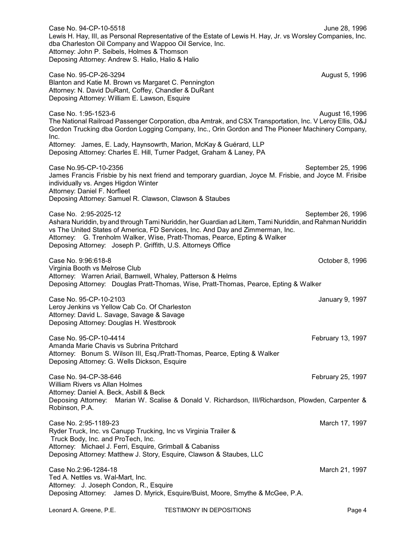Case No. 94-CP-10-5518 June 28, 1996 Lewis H. Hay, III, as Personal Representative of the Estate of Lewis H. Hay, Jr. vs Worsley Companies, Inc. dba Charleston Oil Company and Wappoo Oil Service, Inc. Attorney: John P. Seibels, Holmes & Thomson Deposing Attorney: Andrew S. Halio, Halio & Halio Case No. 95-CP-26-3294 August 5, 1996 Blanton and Katie M. Brown vs Margaret C. Pennington Attorney: N. David DuRant, Coffey, Chandler & DuRant Deposing Attorney: William E. Lawson, Esquire Case No. 1:95-1523-6 August 16,1996 The National Railroad Passenger Corporation, dba Amtrak, and CSX Transportation, Inc. V Leroy Ellis, O&J Gordon Trucking dba Gordon Logging Company, Inc., Orin Gordon and The Pioneer Machinery Company, Inc. Attorney: James, E. Lady, Haynsowrth, Marion, McKay & Guérard, LLP Deposing Attorney: Charles E. Hill, Turner Padget, Graham & Laney, PA Case No.95-CP-10-2356 September 25, 1996 James Francis Frisbie by his next friend and temporary guardian, Joyce M. Frisbie, and Joyce M. Frisibe individually vs. Anges Higdon Winter Attorney: Daniel F. Norfleet Deposing Attorney: Samuel R. Clawson, Clawson & Staubes Case No. 2:95-2025-12 September 26, 1996 Ashara Nuriddin, by and through Tami Nuriddin, her Guardian ad Litem, Tami Nuriddin, and Rahman Nuriddin vs The United States of America, FD Services, Inc. And Day and Zimmerman, Inc. Attorney: G. Trenholm Walker, Wise, Pratt-Thomas, Pearce, Epting & Walker Deposing Attorney: Joseph P. Griffith, U.S. Attorneys Office Case No. 9:96:618-8 October 8, 1996 Virginia Booth vs Melrose Club Attorney: Warren Ariail, Barnwell, Whaley, Patterson & Helms Deposing Attorney: Douglas Pratt-Thomas, Wise, Pratt-Thomas, Pearce, Epting & Walker Case No. 95-CP-10-2103 January 9, 1997 Leroy Jenkins vs Yellow Cab Co. Of Charleston Attorney: David L. Savage, Savage & Savage Deposing Attorney: Douglas H. Westbrook Case No. 95-CP-10-4414 **February 13, 1997** Amanda Marie Chavis vs Subrina Pritchard Attorney: Bonum S. Wilson III, Esq./Pratt-Thomas, Pearce, Epting & Walker Deposing Attorney: G. Wells Dickson, Esquire Case No. 94-CP-38-646 February 25, 1997 William Rivers vs Allan Holmes Attorney: Daniel A. Beck, Asbill & Beck Deposing Attorney: Marian W. Scalise & Donald V. Richardson, III/Richardson, Plowden, Carpenter & Robinson, P.A. Case No. 2:95-1189-23 March 17, 1997 Ryder Truck, Inc. vs Canupp Trucking, Inc vs Virginia Trailer & Truck Body, Inc. and ProTech, Inc. Attorney: Michael J. Ferri, Esquire, Grimball & Cabaniss Deposing Attorney: Matthew J. Story, Esquire, Clawson & Staubes, LLC Case No.2:96-1284-18 March 21, 1997 Ted A. Nettles vs. Wal-Mart, Inc. Attorney: J. Joseph Condon, R., Esquire Deposing Attorney: James D. Myrick, Esquire/Buist, Moore, Smythe & McGee, P.A.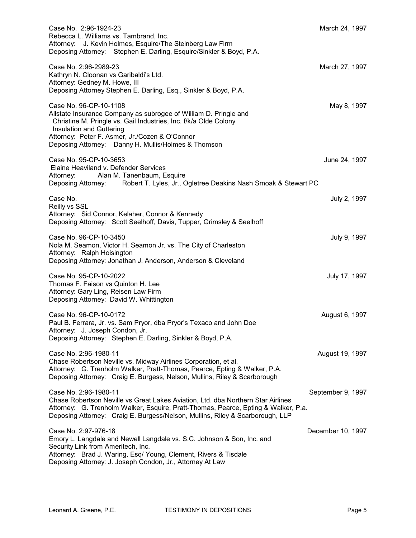| Case No. 2:96-1924-23<br>Rebecca L. Williams vs. Tambrand, Inc.<br>Attorney: J. Kevin Holmes, Esquire/The Steinberg Law Firm<br>Deposing Attorney: Stephen E. Darling, Esquire/Sinkler & Boyd, P.A.                                                                                                 | March 24, 1997    |
|-----------------------------------------------------------------------------------------------------------------------------------------------------------------------------------------------------------------------------------------------------------------------------------------------------|-------------------|
| Case No. 2:96-2989-23<br>Kathryn N. Cloonan vs Garibaldi's Ltd.<br>Attorney: Gedney M. Howe, III<br>Deposing Attorney Stephen E. Darling, Esq., Sinkler & Boyd, P.A.                                                                                                                                | March 27, 1997    |
| Case No. 96-CP-10-1108<br>Allstate Insurance Company as subrogee of William D. Pringle and<br>Christine M. Pringle vs. Gail Industries, Inc. f/k/a Olde Colony<br>Insulation and Guttering<br>Attorney: Peter F. Asmer, Jr./Cozen & O'Connor<br>Deposing Attorney: Danny H. Mullis/Holmes & Thomson | May 8, 1997       |
| Case No. 95-CP-10-3653<br>Elaine Heaviland v. Defender Services<br>Alan M. Tanenbaum, Esquire<br>Attorney:<br>Deposing Attorney: Robert T. Lyles, Jr., Ogletree Deakins Nash Smoak & Stewart PC                                                                                                     | June 24, 1997     |
| Case No.<br>Reilly vs SSL<br>Attorney: Sid Connor, Kelaher, Connor & Kennedy<br>Deposing Attorney: Scott Seelhoff, Davis, Tupper, Grimsley & Seelhoff                                                                                                                                               | July 2, 1997      |
| Case No. 96-CP-10-3450<br>Nola M. Seamon, Victor H. Seamon Jr. vs. The City of Charleston<br>Attorney: Ralph Hoisington<br>Deposing Attorney: Jonathan J. Anderson, Anderson & Cleveland                                                                                                            | July 9, 1997      |
| Case No. 95-CP-10-2022<br>Thomas F. Faison vs Quinton H. Lee<br>Attorney: Gary Ling, Reisen Law Firm<br>Deposing Attorney: David W. Whittington                                                                                                                                                     | July 17, 1997     |
| Case No. 96-CP-10-0172<br>Paul B. Ferrara, Jr. vs. Sam Pryor, dba Pryor's Texaco and John Doe<br>Attorney: J. Joseph Condon, Jr.<br>Deposing Attorney: Stephen E. Darling, Sinkler & Boyd, P.A.                                                                                                     | August 6, 1997    |
| Case No. 2:96-1980-11<br>Chase Robertson Neville vs. Midway Airlines Corporation, et al.<br>Attorney: G. Trenholm Walker, Pratt-Thomas, Pearce, Epting & Walker, P.A.<br>Deposing Attorney: Craig E. Burgess, Nelson, Mullins, Riley & Scarborough                                                  | August 19, 1997   |
| Case No. 2:96-1980-11<br>Chase Robertson Neville vs Great Lakes Aviation, Ltd. dba Northern Star Airlines<br>Attorney: G. Trenholm Walker, Esquire, Pratt-Thomas, Pearce, Epting & Walker, P.a.<br>Deposing Attorney: Craig E. Burgess/Nelson, Mullins, Riley & Scarborough, LLP                    | September 9, 1997 |
| Case No. 2:97-976-18<br>Emory L. Langdale and Newell Langdale vs. S.C. Johnson & Son, Inc. and<br>Security Link from Ameritech, Inc.<br>Attorney: Brad J. Waring, Esq/ Young, Clement, Rivers & Tisdale<br>Deposing Attorney: J. Joseph Condon, Jr., Attorney At Law                                | December 10, 1997 |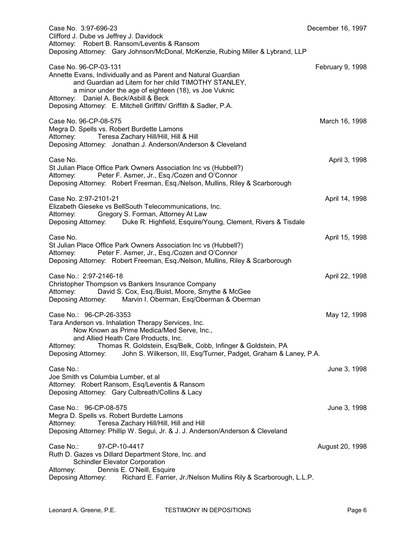| Case No. 3:97-696-23<br>Clifford J. Dube vs Jeffrey J. Davidock<br>Attorney: Robert B. Ransom/Leventis & Ransom<br>Deposing Attorney: Gary Johnson/McDonal, McKenzie, Rubing Miller & Lybrand, LLP                                                                                                                                           | December 16, 1997 |
|----------------------------------------------------------------------------------------------------------------------------------------------------------------------------------------------------------------------------------------------------------------------------------------------------------------------------------------------|-------------------|
| Case No. 96-CP-03-131<br>Annette Evans, Individually and as Parent and Natural Guardian<br>and Guardian ad Litem for her child TIMOTHY STANLEY,<br>a minor under the age of eighteen (18), vs Joe Vuknic<br>Attorney: Daniel A. Beck/Asbill & Beck<br>Deposing Attorney: E. Mitchell Griffith/ Griffith & Sadler, P.A.                       | February 9, 1998  |
| Case No. 96-CP-08-575<br>Megra D. Spells vs. Robert Burdette Lamons<br>Teresa Zachary Hill/Hill, Hill & Hill<br>Attorney:<br>Deposing Attorney: Jonathan J. Anderson/Anderson & Cleveland                                                                                                                                                    | March 16, 1998    |
| Case No.<br>St Julian Place Office Park Owners Association Inc vs (Hubbell?)<br>Peter F. Asmer, Jr., Esq./Cozen and O'Connor<br>Attorney:<br>Deposing Attorney: Robert Freeman, Esq./Nelson, Mullins, Riley & Scarborough                                                                                                                    | April 3, 1998     |
| Case No. 2:97-2101-21<br>Elizabeth Gieseke vs BellSouth Telecommunications, Inc.<br>Gregory S. Forman, Attorney At Law<br>Attorney:<br>Deposing Attorney: Duke R. Highfield, Esquire/Young, Clement, Rivers & Tisdale                                                                                                                        | April 14, 1998    |
| Case No.<br>St Julian Place Office Park Owners Association Inc vs (Hubbell?)<br>Peter F. Asmer, Jr., Esq./Cozen and O'Connor<br>Attorney:<br>Deposing Attorney: Robert Freeman, Esq./Nelson, Mullins, Riley & Scarborough                                                                                                                    | April 15, 1998    |
| Case No.: 2:97-2146-18<br>Christopher Thompson vs Bankers Insurance Company<br>David S. Cox, Esq./Buist, Moore, Smythe & McGee<br>Attorney:<br>Deposing Attorney: Marvin I. Oberman, Esq/Oberman & Oberman                                                                                                                                   | April 22, 1998    |
| Case No.: 96-CP-26-3353<br>Tara Anderson vs. Inhalation Therapy Services, Inc.<br>Now Known as Prime Medica/Med Serve, Inc.,<br>and Allied Heath Care Products, Inc.<br>Thomas R. Goldstein, Esq/Belk, Cobb, Infinger & Goldstein, PA<br>Attorney:<br>John S. Wilkerson, III, Esq/Turner, Padget, Graham & Laney, P.A.<br>Deposing Attorney: | May 12, 1998      |
| Case No.:<br>Joe Smith vs Columbia Lumber, et al<br>Attorney: Robert Ransom, Esq/Leventis & Ransom<br>Deposing Attorney: Gary Culbreath/Collins & Lacy                                                                                                                                                                                       | June 3, 1998      |
| Case No.: 96-CP-08-575<br>Megra D. Spells vs. Robert Burdette Lamons<br>Teresa Zachary Hill/Hill, Hill and Hill<br>Attorney:<br>Deposing Attorney: Phillip W. Segui, Jr. & J. J. Anderson/Anderson & Cleveland                                                                                                                               | June 3, 1998      |
| Case No.:<br>97-CP-10-4417<br>Ruth D. Gazes vs Dillard Department Store, Inc. and<br><b>Schindler Elevator Corporation</b><br>Dennis E. O'Neill, Esquire<br>Attorney:<br>Richard E. Farrier, Jr./Nelson Mullins Rily & Scarborough, L.L.P.<br>Deposing Attorney:                                                                             | August 20, 1998   |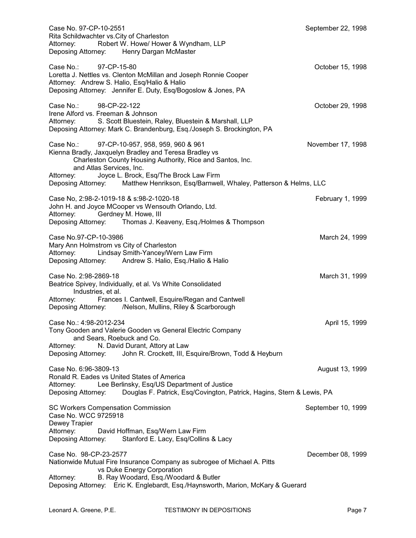| Case No. 97-CP-10-2551<br>Rita Schildwachter vs. City of Charleston<br>Robert W. Howe/ Hower & Wyndham, LLP<br>Attorney:                                                                                                                                                   | September 22, 1998 |
|----------------------------------------------------------------------------------------------------------------------------------------------------------------------------------------------------------------------------------------------------------------------------|--------------------|
| Deposing Attorney: Henry Dargan McMaster                                                                                                                                                                                                                                   |                    |
| 97-CP-15-80<br>Case No.:<br>Loretta J. Nettles vs. Clenton McMillan and Joseph Ronnie Cooper<br>Attorney: Andrew S. Halio, Esq/Halio & Halio<br>Deposing Attorney: Jennifer E. Duty, Esq/Bogoslow & Jones, PA                                                              | October 15, 1998   |
| 98-CP-22-122<br>Case No.:<br>Irene Alford vs. Freeman & Johnson<br>S. Scott Bluestein, Raley, Bluestein & Marshall, LLP<br>Attorney:                                                                                                                                       | October 29, 1998   |
| Deposing Attorney: Mark C. Brandenburg, Esq./Joseph S. Brockington, PA                                                                                                                                                                                                     |                    |
| 97-CP-10-957, 958, 959, 960 & 961<br>Case No.:<br>Kienna Bradly, Jaxquelyn Bradley and Teresa Bradley vs<br>Charleston County Housing Authority, Rice and Santos, Inc.<br>and Atlas Services, Inc.                                                                         | November 17, 1998  |
| Joyce L. Brock, Esq/The Brock Law Firm<br>Attorney:<br>Deposing Attorney: Matthew Henrikson, Esq/Barnwell, Whaley, Patterson & Helms, LLC                                                                                                                                  |                    |
| Case No, 2:98-2-1019-18 & s:98-2-1020-18<br>John H. and Joyce MCooper vs Wensouth Orlando, Ltd.<br>Gerdney M. Howe, III<br>Attorney:                                                                                                                                       | February 1, 1999   |
| Deposing Attorney: Thomas J. Keaveny, Esq./Holmes & Thompson                                                                                                                                                                                                               |                    |
| Case No.97-CP-10-3986<br>Mary Ann Holmstrom vs City of Charleston<br>Lindsay Smith-Yancey/Wern Law Firm<br>Attorney:<br>Deposing Attorney: Andrew S. Halio, Esq./Halio & Halio                                                                                             | March 24, 1999     |
| Case No. 2:98-2869-18<br>Beatrice Spivey, Individually, et al. Vs White Consolidated<br>Industries, et al.                                                                                                                                                                 | March 31, 1999     |
| Frances I. Cantwell, Esquire/Regan and Cantwell<br>Attorney:<br>Deposing Attorney: /Nelson, Mullins, Riley & Scarborough                                                                                                                                                   |                    |
| Case No.: 4:98-2012-234<br>Tony Gooden and Valerie Gooden vs General Electric Company<br>and Sears, Roebuck and Co.<br>N. David Durant, Attory at Law<br>Attorney:                                                                                                         | April 15, 1999     |
| John R. Crockett, III, Esquire/Brown, Todd & Heyburn<br>Deposing Attorney:                                                                                                                                                                                                 |                    |
| Case No. 6:96-3809-13<br>Ronald R. Eades vs United States of America<br>Lee Berlinsky, Esq/US Department of Justice<br>Attorney:                                                                                                                                           | August 13, 1999    |
| Douglas F. Patrick, Esq/Covington, Patrick, Hagins, Stern & Lewis, PA<br>Deposing Attorney:                                                                                                                                                                                |                    |
| <b>SC Workers Compensation Commission</b><br>Case No. WCC 9725918<br>Dewey Trapier                                                                                                                                                                                         | September 10, 1999 |
| David Hoffman, Esq/Wern Law Firm<br>Attorney:<br>Stanford E. Lacy, Esq/Collins & Lacy<br>Deposing Attorney:                                                                                                                                                                |                    |
| Case No. 98-CP-23-2577<br>Nationwide Mutual Fire Insurance Company as subrogee of Michael A. Pitts<br>vs Duke Energy Corporation<br>B. Ray Woodard, Esq./Woodard & Butler<br>Attorney:<br>Deposing Attorney: Eric K. Englebardt, Esq./Haynsworth, Marion, McKary & Guerard | December 08, 1999  |
|                                                                                                                                                                                                                                                                            |                    |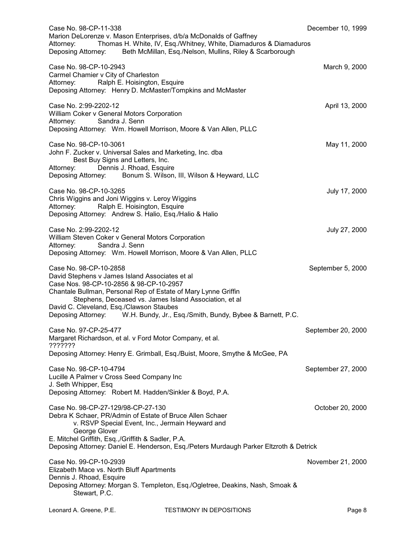| Case No. 98-CP-11-338                                                                                                                                                                                                                                                                                                                                                       | December 10, 1999  |
|-----------------------------------------------------------------------------------------------------------------------------------------------------------------------------------------------------------------------------------------------------------------------------------------------------------------------------------------------------------------------------|--------------------|
| Marion DeLorenze v. Mason Enterprises, d/b/a McDonalds of Gaffney<br>Thomas H. White, IV, Esq./Whitney, White, Diamaduros & Diamaduros<br>Attorney:<br>Deposing Attorney: Beth McMillan, Esq./Nelson, Mullins, Riley & Scarborough                                                                                                                                          |                    |
| Case No. 98-CP-10-2943<br>Carmel Chamier v City of Charleston<br>Ralph E. Hoisington, Esquire<br>Attorney:                                                                                                                                                                                                                                                                  | March 9, 2000      |
| Deposing Attorney: Henry D. McMaster/Tompkins and McMaster                                                                                                                                                                                                                                                                                                                  |                    |
| Case No. 2:99-2202-12<br>William Coker v General Motors Corporation<br>Sandra J. Senn<br>Attorney:                                                                                                                                                                                                                                                                          | April 13, 2000     |
| Deposing Attorney: Wm. Howell Morrison, Moore & Van Allen, PLLC                                                                                                                                                                                                                                                                                                             |                    |
| Case No. 98-CP-10-3061<br>John F. Zucker v. Universal Sales and Marketing, Inc. dba<br>Best Buy Signs and Letters, Inc.<br>Dennis J. Rhoad, Esquire<br>Attorney:                                                                                                                                                                                                            | May 11, 2000       |
| Deposing Attorney: Bonum S. Wilson, III, Wilson & Heyward, LLC                                                                                                                                                                                                                                                                                                              |                    |
| Case No. 98-CP-10-3265<br>Chris Wiggins and Joni Wiggins v. Leroy Wiggins<br>Ralph E. Hoisington, Esquire<br>Attorney:<br>Deposing Attorney: Andrew S. Halio, Esq./Halio & Halio                                                                                                                                                                                            | July 17, 2000      |
| Case No. 2:99-2202-12                                                                                                                                                                                                                                                                                                                                                       | July 27, 2000      |
| William Steven Coker v General Motors Corporation<br>Sandra J. Senn<br>Attorney:<br>Deposing Attorney: Wm. Howell Morrison, Moore & Van Allen, PLLC                                                                                                                                                                                                                         |                    |
| Case No. 98-CP-10-2858<br>David Stephens v James Island Associates et al<br>Case Nos. 98-CP-10-2856 & 98-CP-10-2957<br>Chantale Bullman, Personal Rep of Estate of Mary Lynne Griffin<br>Stephens, Deceased vs. James Island Association, et al<br>David C. Cleveland, Esq./Clawson Staubes<br>Deposing Attorney: W.H. Bundy, Jr., Esq./Smith, Bundy, Bybee & Barnett, P.C. | September 5, 2000  |
|                                                                                                                                                                                                                                                                                                                                                                             |                    |
| Case No. 97-CP-25-477<br>Margaret Richardson, et al. v Ford Motor Company, et al.<br>???????                                                                                                                                                                                                                                                                                | September 20, 2000 |
| Deposing Attorney: Henry E. Grimball, Esq./Buist, Moore, Smythe & McGee, PA                                                                                                                                                                                                                                                                                                 |                    |
| Case No. 98-CP-10-4794<br>Lucille A Palmer v Cross Seed Company Inc<br>J. Seth Whipper, Esq<br>Deposing Attorney: Robert M. Hadden/Sinkler & Boyd, P.A.                                                                                                                                                                                                                     | September 27, 2000 |
| Case No. 98-CP-27-129/98-CP-27-130<br>Debra K Schaer, PR/Admin of Estate of Bruce Allen Schaer<br>v. RSVP Special Event, Inc., Jermain Heyward and<br>George Glover                                                                                                                                                                                                         | October 20, 2000   |
| E. Mitchel Griffith, Esq.,/Griffith & Sadler, P.A.<br>Deposing Attorney: Daniel E. Henderson, Esq./Peters Murdaugh Parker Eltzroth & Detrick                                                                                                                                                                                                                                |                    |
| Case No. 99-CP-10-2939<br>Elizabeth Mace vs. North Bluff Apartments<br>Dennis J. Rhoad, Esquire<br>Deposing Attorney: Morgan S. Templeton, Esq./Ogletree, Deakins, Nash, Smoak &<br>Stewart, P.C.                                                                                                                                                                           | November 21, 2000  |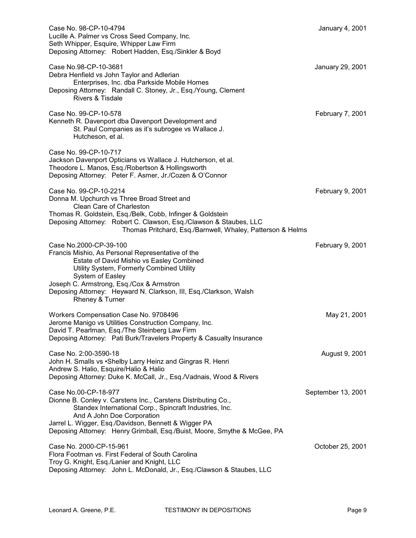| Case No. 98-CP-10-4794<br>Lucille A. Palmer vs Cross Seed Company, Inc.<br>Seth Whipper, Esquire, Whipper Law Firm<br>Deposing Attorney: Robert Hadden, Esq./Sinkler & Boyd                                                                                                                                                   | January 4, 2001    |
|-------------------------------------------------------------------------------------------------------------------------------------------------------------------------------------------------------------------------------------------------------------------------------------------------------------------------------|--------------------|
| Case No.98-CP-10-3681<br>Debra Henfield vs John Taylor and Adlerian<br>Enterprises, Inc. dba Parkside Mobile Homes<br>Deposing Attorney: Randall C. Stoney, Jr., Esq./Young, Clement<br>Rivers & Tisdale                                                                                                                      | January 29, 2001   |
| Case No. 99-CP-10-578<br>Kenneth R. Davenport dba Davenport Development and<br>St. Paul Companies as it's subrogee vs Wallace J.<br>Hutcheson, et al.                                                                                                                                                                         | February 7, 2001   |
| Case No. 99-CP-10-717<br>Jackson Davenport Opticians vs Wallace J. Hutcherson, et al.<br>Theodore L. Manos, Esq./Robertson & Hollingsworth<br>Deposing Attorney: Peter F. Asmer, Jr./Cozen & O'Connor                                                                                                                         |                    |
| Case No. 99-CP-10-2214<br>Donna M. Upchurch vs Three Broad Street and<br>Clean Care of Charleston<br>Thomas R. Goldstein, Esq./Belk, Cobb, Infinger & Goldstein<br>Deposing Attorney: Robert C. Clawson, Esq./Clawson & Staubes, LLC<br>Thomas Pritchard, Esq./Barnwell, Whaley, Patterson & Helms                            | February 9, 2001   |
| Case No.2000-CP-39-100<br>Francis Mishio, As Personal Representative of the<br>Estate of David Mishio vs Easley Combined<br>Utility System, Formerly Combined Utility<br>System of Easley<br>Joseph C. Armstrong, Esq./Cox & Armstron<br>Deposing Attorney: Heyward N. Clarkson, III, Esq./Clarkson, Walsh<br>Rheney & Turner | February 9, 2001   |
| Workers Compensation Case No. 9708496<br>Jerome Manigo vs Utilities Construction Company, Inc.<br>David T. Pearlman, Esq./The Steinberg Law Firm<br>Deposing Attorney: Pati Burk/Travelers Property & Casualty Insurance                                                                                                      | May 21, 2001       |
| Case No. 2:00-3590-18<br>John H. Smalls vs • Shelby Larry Heinz and Gingras R. Henri<br>Andrew S. Halio, Esquire/Halio & Halio<br>Deposing Attorney: Duke K. McCall, Jr., Esq./Vadnais, Wood & Rivers                                                                                                                         | August 9, 2001     |
| Case No.00-CP-18-977<br>Dionne B. Conley v. Carstens Inc., Carstens Distributing Co.,<br>Standex International Corp., Spincraft Industries, Inc.<br>And A John Doe Corporation<br>Jarrel L. Wigger, Esq./Davidson, Bennett & Wigger PA<br>Deposing Attorney: Henry Grimball, Esq./Buist, Moore, Smythe & McGee, PA            | September 13, 2001 |
| Case No. 2000-CP-15-961<br>Flora Footman vs. First Federal of South Carolina<br>Troy G. Knight, Esq./Lanier and Knight, LLC<br>Deposing Attorney: John L. McDonald, Jr., Esq./Clawson & Staubes, LLC                                                                                                                          | October 25, 2001   |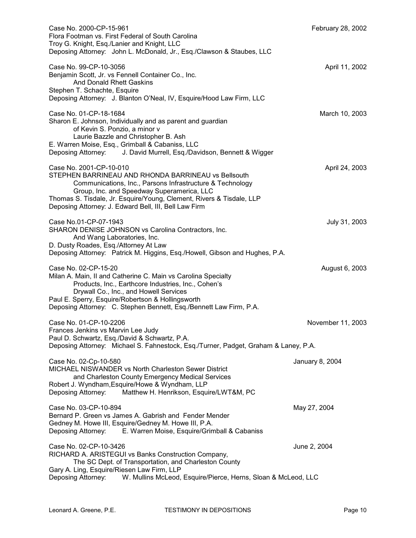| Case No. 2000-CP-15-961<br>Flora Footman vs. First Federal of South Carolina<br>Troy G. Knight, Esq./Lanier and Knight, LLC<br>Deposing Attorney: John L. McDonald, Jr., Esq./Clawson & Staubes, LLC                                                                                                                       | February 28, 2002 |
|----------------------------------------------------------------------------------------------------------------------------------------------------------------------------------------------------------------------------------------------------------------------------------------------------------------------------|-------------------|
| Case No. 99-CP-10-3056<br>Benjamin Scott, Jr. vs Fennell Container Co., Inc.<br><b>And Donald Rhett Gaskins</b><br>Stephen T. Schachte, Esquire<br>Deposing Attorney: J. Blanton O'Neal, IV, Esquire/Hood Law Firm, LLC                                                                                                    | April 11, 2002    |
| Case No. 01-CP-18-1684<br>Sharon E. Johnson, Individually and as parent and guardian<br>of Kevin S. Ponzio, a minor v<br>Laurie Bazzle and Christopher B. Ash<br>E. Warren Moise, Esq., Grimball & Cabaniss, LLC<br>Deposing Attorney: J. David Murrell, Esq./Davidson, Bennett & Wigger                                   | March 10, 2003    |
| Case No. 2001-CP-10-010<br>STEPHEN BARRINEAU AND RHONDA BARRINEAU vs Bellsouth<br>Communications, Inc., Parsons Infrastructure & Technology<br>Group, Inc. and Speedway Superamerica, LLC<br>Thomas S. Tisdale, Jr. Esquire/Young, Clement, Rivers & Tisdale, LLP<br>Deposing Attorney: J. Edward Bell, III, Bell Law Firm | April 24, 2003    |
| Case No.01-CP-07-1943<br>SHARON DENISE JOHNSON vs Carolina Contractors, Inc.<br>And Wang Laboratories, Inc.<br>D. Dusty Roades, Esq./Attorney At Law<br>Deposing Attorney: Patrick M. Higgins, Esq./Howell, Gibson and Hughes, P.A.                                                                                        | July 31, 2003     |
| Case No. 02-CP-15-20<br>Milan A. Main, II and Catherine C. Main vs Carolina Specialty<br>Products, Inc., Earthcore Industries, Inc., Cohen's<br>Drywall Co., Inc., and Howell Services<br>Paul E. Sperry, Esquire/Robertson & Hollingsworth<br>Deposing Attorney: C. Stephen Bennett, Esq./Bennett Law Firm, P.A.          | August 6, 2003    |
| Case No. 01-CP-10-2206<br>Frances Jenkins vs Marvin Lee Judy<br>Paul D. Schwartz, Esq./David & Schwartz, P.A.<br>Deposing Attorney: Michael S. Fahnestock, Esq./Turner, Padget, Graham & Laney, P.A.                                                                                                                       | November 11, 2003 |
| Case No. 02-Cp-10-580<br><b>MICHAEL NISWANDER vs North Charleston Sewer District</b><br>and Charleston County Emergency Medical Services<br>Robert J. Wyndham, Esquire/Howe & Wyndham, LLP<br>Matthew H. Henrikson, Esquire/LWT&M, PC<br>Deposing Attorney:                                                                | January 8, 2004   |
| Case No. 03-CP-10-894<br>Bernard P. Green vs James A. Gabrish and Fender Mender<br>Gedney M. Howe III, Esquire/Gedney M. Howe III, P.A.<br>Deposing Attorney: E. Warren Moise, Esquire/Grimball & Cabaniss                                                                                                                 | May 27, 2004      |
| Case No. 02-CP-10-3426<br>RICHARD A. ARISTEGUI vs Banks Construction Company,<br>The SC Dept. of Transportation, and Charleston County<br>Gary A. Ling, Esquire/Riesen Law Firm, LLP<br>Deposing Attorney:<br>W. Mullins McLeod, Esquire/Pierce, Herns, Sloan & McLeod, LLC                                                | June 2, 2004      |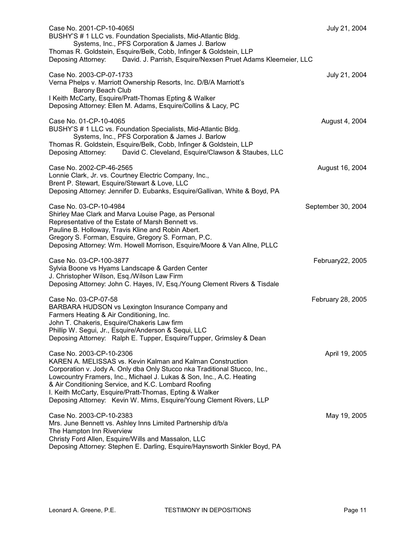| Case No. 2001-CP-10-4065I<br>BUSHY'S # 1 LLC vs. Foundation Specialists, Mid-Atlantic Bldg.<br>Systems, Inc., PFS Corporation & James J. Barlow<br>Thomas R. Goldstein, Esquire/Belk, Cobb, Infinger & Goldstein, LLP<br>Deposing Attorney: David. J. Parrish, Esquire/Nexsen Pruet Adams Kleemeier, LLC                                                                                                                              | July 21, 2004      |
|---------------------------------------------------------------------------------------------------------------------------------------------------------------------------------------------------------------------------------------------------------------------------------------------------------------------------------------------------------------------------------------------------------------------------------------|--------------------|
| Case No. 2003-CP-07-1733<br>Verna Phelps v. Marriott Ownership Resorts, Inc. D/B/A Marriott's<br><b>Barony Beach Club</b><br>I Keith McCarty, Esquire/Pratt-Thomas Epting & Walker<br>Deposing Attorney: Ellen M. Adams, Esquire/Collins & Lacy, PC                                                                                                                                                                                   | July 21, 2004      |
| Case No. 01-CP-10-4065<br>BUSHY'S # 1 LLC vs. Foundation Specialists, Mid-Atlantic Bldg.<br>Systems, Inc., PFS Corporation & James J. Barlow<br>Thomas R. Goldstein, Esquire/Belk, Cobb, Infinger & Goldstein, LLP<br>Deposing Attorney: David C. Cleveland, Esquire/Clawson & Staubes, LLC                                                                                                                                           | August 4, 2004     |
| Case No. 2002-CP-46-2565<br>Lonnie Clark, Jr. vs. Courtney Electric Company, Inc.,<br>Brent P. Stewart, Esquire/Stewart & Love, LLC<br>Deposing Attorney: Jennifer D. Eubanks, Esquire/Gallivan, White & Boyd, PA                                                                                                                                                                                                                     | August 16, 2004    |
| Case No. 03-CP-10-4984<br>Shirley Mae Clark and Marva Louise Page, as Personal<br>Representative of the Estate of Marsh Bennett vs.<br>Pauline B. Holloway, Travis Kline and Robin Abert.<br>Gregory S. Forman, Esquire, Gregory S. Forman, P.C.<br>Deposing Attorney: Wm. Howell Morrison, Esquire/Moore & Van Allne, PLLC                                                                                                           | September 30, 2004 |
| Case No. 03-CP-100-3877<br>Sylvia Boone vs Hyams Landscape & Garden Center<br>J. Christopher Wilson, Esq./Wilson Law Firm<br>Deposing Attorney: John C. Hayes, IV, Esq./Young Clement Rivers & Tisdale                                                                                                                                                                                                                                | February22, 2005   |
| Case No. 03-CP-07-58<br>BARBARA HUDSON vs Lexington Insurance Company and<br>Farmers Heating & Air Conditioning, Inc.<br>John T. Chakeris, Esquire/Chakeris Law firm<br>Phillip W. Segui, Jr., Esquire/Anderson & Sequi, LLC<br>Deposing Attorney: Ralph E. Tupper, Esquire/Tupper, Grimsley & Dean                                                                                                                                   | February 28, 2005  |
| Case No. 2003-CP-10-2306<br>KAREN A. MELISSAS vs. Kevin Kalman and Kalman Construction<br>Corporation v. Jody A. Only dba Only Stucco nka Traditional Stucco, Inc.,<br>Lowcountry Framers, Inc., Michael J. Lukas & Son, Inc., A.C. Heating<br>& Air Conditioning Service, and K.C. Lombard Roofing<br>I. Keith McCarty, Esquire/Pratt-Thomas, Epting & Walker<br>Deposing Attorney: Kevin W. Mims, Esquire/Young Clement Rivers, LLP | April 19, 2005     |
| Case No. 2003-CP-10-2383<br>Mrs. June Bennett vs. Ashley Inns Limited Partnership d/b/a<br>The Hampton Inn Riverview<br>Christy Ford Allen, Esquire/Wills and Massalon, LLC<br>Deposing Attorney: Stephen E. Darling, Esquire/Haynsworth Sinkler Boyd, PA                                                                                                                                                                             | May 19, 2005       |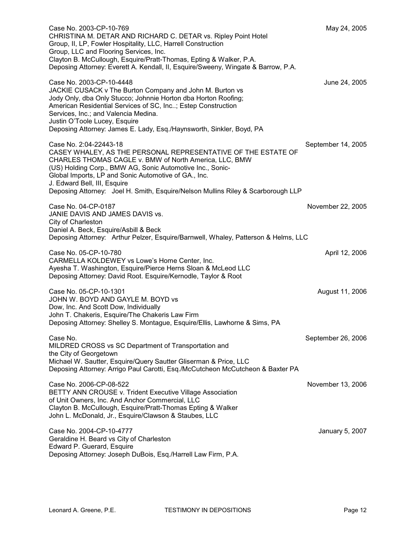| Case No. 2003-CP-10-769<br>CHRISTINA M. DETAR AND RICHARD C. DETAR vs. Ripley Point Hotel<br>Group, II, LP, Fowler Hospitality, LLC, Harrell Construction<br>Group, LLC and Flooring Services, Inc.<br>Clayton B. McCullough, Esquire/Pratt-Thomas, Epting & Walker, P.A.<br>Deposing Attorney: Everett A. Kendall, II, Esquire/Sweeny, Wingate & Barrow, P.A.                             | May 24, 2005       |
|--------------------------------------------------------------------------------------------------------------------------------------------------------------------------------------------------------------------------------------------------------------------------------------------------------------------------------------------------------------------------------------------|--------------------|
| Case No. 2003-CP-10-4448<br>JACKIE CUSACK v The Burton Company and John M. Burton vs<br>Jody Only, dba Only Stucco; Johnnie Horton dba Horton Roofing;<br>American Residential Services of SC, Inc; Estep Construction<br>Services, Inc.; and Valencia Medina.<br>Justin O'Toole Lucey, Esquire<br>Deposing Attorney: James E. Lady, Esq./Haynsworth, Sinkler, Boyd, PA                    | June 24, 2005      |
| Case No. 2:04-22443-18<br>CASEY WHALEY, AS THE PERSONAL REPRESENTATIVE OF THE ESTATE OF<br>CHARLES THOMAS CAGLE v. BMW of North America, LLC, BMW<br>(US) Holding Corp., BMW AG, Sonic Automotive Inc., Sonic-<br>Global Imports, LP and Sonic Automotive of GA., Inc.<br>J. Edward Bell, III, Esquire<br>Deposing Attorney: Joel H. Smith, Esquire/Nelson Mullins Riley & Scarborough LLP | September 14, 2005 |
| Case No. 04-CP-0187<br>JANIE DAVIS AND JAMES DAVIS vs.<br>City of Charleston<br>Daniel A. Beck, Esquire/Asbill & Beck<br>Deposing Attorney: Arthur Pelzer, Esquire/Barnwell, Whaley, Patterson & Helms, LLC                                                                                                                                                                                | November 22, 2005  |
| Case No. 05-CP-10-780<br>CARMELLA KOLDEWEY vs Lowe's Home Center, Inc.<br>Ayesha T. Washington, Esquire/Pierce Herns Sloan & McLeod LLC<br>Deposing Attorney: David Root. Esquire/Kernodle, Taylor & Root                                                                                                                                                                                  | April 12, 2006     |
| Case No. 05-CP-10-1301<br>JOHN W. BOYD AND GAYLE M. BOYD vs<br>Dow, Inc. And Scott Dow, Individually<br>John T. Chakeris, Esquire/The Chakeris Law Firm<br>Deposing Attorney: Shelley S. Montague, Esquire/Ellis, Lawhorne & Sims, PA                                                                                                                                                      | August 11, 2006    |
| Case No.<br>MILDRED CROSS vs SC Department of Transportation and<br>the City of Georgetown<br>Michael W. Sautter, Esquire/Query Sautter Gliserman & Price, LLC<br>Deposing Attorney: Arrigo Paul Carotti, Esq./McCutcheon McCutcheon & Baxter PA                                                                                                                                           | September 26, 2006 |
| Case No. 2006-CP-08-522<br>BETTY ANN CROUSE v. Trident Executive Village Association<br>of Unit Owners, Inc. And Anchor Commercial, LLC<br>Clayton B. McCullough, Esquire/Pratt-Thomas Epting & Walker<br>John L. McDonald, Jr., Esquire/Clawson & Staubes, LLC                                                                                                                            | November 13, 2006  |
| Case No. 2004-CP-10-4777<br>Geraldine H. Beard vs City of Charleston<br>Edward P. Guerard, Esquire<br>Deposing Attorney: Joseph DuBois, Esq./Harrell Law Firm, P.A.                                                                                                                                                                                                                        | January 5, 2007    |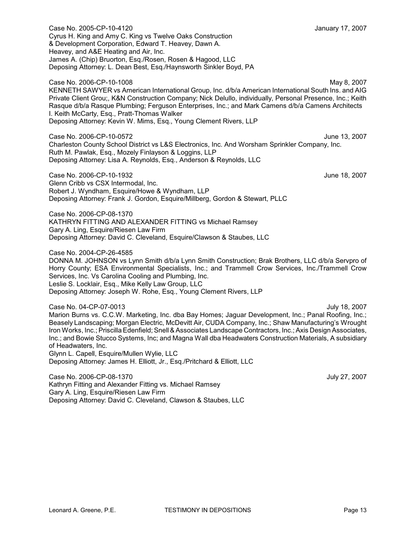Case No. 2005-CP-10-4120 January 17, 2007 Cyrus H. King and Amy C. King vs Twelve Oaks Construction & Development Corporation, Edward T. Heavey, Dawn A. Heavey, and A&E Heating and Air, Inc. James A. (Chip) Bruorton, Esq./Rosen, Rosen & Hagood, LLC Deposing Attorney: L. Dean Best, Esq./Haynsworth Sinkler Boyd, PA

Case No. 2006-CP-10-1008 May 8, 2007 KENNETH SAWYER vs American International Group, Inc. d/b/a American International South Ins. and AIG Private Client Grou;, K&N Construction Company; Nick Delullo, individually, Personal Presence, Inc.; Keith Rasque d/b/a Rasque Plumbing; Ferguson Enterprises, Inc.; and Mark Camens d/b/a Camens Architects I. Keith McCarty, Esq., Pratt-Thomas Walker Deposing Attorney: Kevin W. Mims, Esq., Young Clement Rivers, LLP

Case No. 2006-CP-10-0572 June 13, 2007 Charleston County School District vs L&S Electronics, Inc. And Worsham Sprinkler Company, Inc. Ruth M. Pawlak, Esq., Mozely Finlayson & Loggins, LLP Deposing Attorney: Lisa A. Reynolds, Esq., Anderson & Reynolds, LLC

Case No. 2006-CP-10-1932 June 18, 2007 Glenn Cribb vs CSX Intermodal, Inc. Robert J. Wyndham, Esquire/Howe & Wyndham, LLP Deposing Attorney: Frank J. Gordon, Esquire/Millberg, Gordon & Stewart, PLLC

Case No. 2006-CP-08-1370 KATHRYN FITTING AND ALEXANDER FITTING vs Michael Ramsey Gary A. Ling, Esquire/Riesen Law Firm Deposing Attorney: David C. Cleveland, Esquire/Clawson & Staubes, LLC

Case No. 2004-CP-26-4585 DONNA M. JOHNSON vs Lynn Smith d/b/a Lynn Smith Construction; Brak Brothers, LLC d/b/a Servpro of Horry County; ESA Environmental Specialists, Inc.; and Trammell Crow Services, Inc./Trammell Crow Services, Inc. Vs Carolina Cooling and Plumbing, Inc. Leslie S. Locklair, Esq., Mike Kelly Law Group, LLC Deposing Attorney: Joseph W. Rohe, Esq., Young Clement Rivers, LLP

Case No. 04-CP-07-0013 July 18, 2007 Marion Burns vs. C.C.W. Marketing, Inc. dba Bay Homes; Jaguar Development, Inc.; Panal Roofing, Inc.; Beasely Landscaping; Morgan Electric, McDevitt Air, CUDA Company, Inc.; Shaw Manufacturing's Wrought Iron Works, Inc.; Priscilla Edenfield; Snell& Associates Landscape Contractors, Inc.; Axis Design Associates, Inc.; and Bowie Stucco Systems, Inc; and Magna Wall dba Headwaters Construction Materials, A subsidiary of Headwaters, Inc. Glynn L. Capell, Esquire/Mullen Wylie, LLC Deposing Attorney: James H. Elliott, Jr., Esq./Pritchard & Elliott, LLC

Case No. 2006-CP-08-1370 July 27, 2007 Kathryn Fitting and Alexander Fitting vs. Michael Ramsey Gary A. Ling, Esquire/Riesen Law Firm Deposing Attorney: David C. Cleveland, Clawson & Staubes, LLC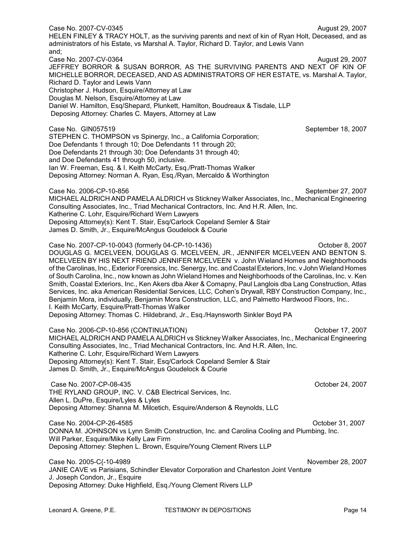MICHELLE BORROR, DECEASED, AND AS ADMINISTRATORS OF HER ESTATE, vs. Marshal A. Taylor, Richard D. Taylor and Lewis Vann Christopher J. Hudson, Esquire/Attorney at Law Douglas M. Nelson, Esquire/Attorney at Law Daniel W. Hamilton, Esq/Shepard, Plunkett, Hamilton, Boudreaux & Tisdale, LLP Deposing Attorney: Charles C. Mayers, Attorney at Law Case No. GIN057519 September 18, 2007 STEPHEN C. THOMPSON vs Spinergy, Inc., a California Corporation; Doe Defendants 1 through 10; Doe Defendants 11 through 20; Doe Defendants 21 through 30; Doe Defendants 31 through 40; and Doe Defendants 41 through 50, inclusive. Ian W. Freeman, Esq. & I. Keith McCarty, Esq./Pratt-Thomas Walker Deposing Attorney: Norman A. Ryan, Esq./Ryan, Mercaldo & Worthington Case No. 2006-CP-10-856 September 27, 2007 MICHAEL ALDRICH AND PAMELA ALDRICH vs Stickney Walker Associates, Inc., Mechanical Engineering Consulting Associates, Inc., Triad Mechanical Contractors, Inc. And H.R. Allen, Inc. Katherine C. Lohr, Esquire/Richard Wern Lawyers Deposing Attorney(s): Kent T. Stair, Esq/Carlock Copeland Semler & Stair James D. Smith, Jr., Esquire/McAngus Goudelock & Courie Case No. 2007-CP-10-0043 (formerly 04-CP-10-1436) October 8, 2007 DOUGLAS G. MCELVEEN, DOUGLAS G. MCELVEEN, JR., JENNIFER MCELVEEN AND BENTON S. MCELVEEN BY HIS NEXT FRIEND JENNIFER MCELVEEN v. John Wieland Homes and Neighborhoods of the Carolinas, Inc., Exterior Forensics, Inc. Senergy, Inc. and CoastalExteriors, Inc. v John Wieland Homes of South Carolina, Inc., now known as John Wieland Homes and Neighborhoods of the Carolinas, Inc. v. Ken Smith, Coastal Exteriors, Inc., Ken Akers dba Aker & Comapny, Paul Langlois dba Lang Construction, Atlas Services, Inc. aka American Residential Services, LLC, Cohen's Drywall, RBY Construction Company, Inc., Benjamin Mora, individually, Benjamin Mora Construction, LLC, and Palmetto Hardwood Floors, Inc.. I. Keith McCarty, Esquire/Pratt-Thomas Walker Deposing Attorney: Thomas C. Hildebrand, Jr., Esq./Haynsworth Sinkler Boyd PA Case No. 2006-CP-10-856 (CONTINUATION) October 17, 2007 MICHAEL ALDRICH AND PAMELA ALDRICH vs Stickney Walker Associates, Inc., Mechanical Engineering Consulting Associates, Inc., Triad Mechanical Contractors, Inc. And H.R. Allen, Inc. Katherine C. Lohr, Esquire/Richard Wern Lawyers Deposing Attorney(s): Kent T. Stair, Esq/Carlock Copeland Semler & Stair James D. Smith, Jr., Esquire/McAngus Goudelock & Courie Case No. 2007-CP-08-435 October 24, 2007 THE RYLAND GROUP, INC. V. C&B Electrical Services, Inc. Allen L. DuPre, Esquire/Lyles & Lyles Deposing Attorney: Shanna M. Milcetich, Esquire/Anderson & Reynolds, LLC Case No. 2004-CP-26-4585 October 31, 2007 DONNA M. JOHNSON vs Lynn Smith Construction, Inc. and Carolina Cooling and Plumbing, Inc. Will Parker, Esquire/Mike Kelly Law Firm Deposing Attorney: Stephen L. Brown, Esquire/Young Clement Rivers LLP Case No. 2005-C{-10-4989 November 28, 2007 JANIE CAVE vs Parisians, Schindler Elevator Corporation and Charleston Joint Venture J. Joseph Condon, Jr., Esquire Deposing Attorney: Duke Highfield, Esq./Young Clement Rivers LLP Leonard A. Greene, P.E. TESTIMONY IN DEPOSITIONS Fage 14

HELEN FINLEY & TRACY HOLT, as the surviving parents and next of kin of Ryan Holt, Deceased, and as

JEFFREY BORROR & SUSAN BORROR, AS THE SURVIVING PARENTS AND NEXT OF KIN OF

administrators of his Estate, vs Marshal A. Taylor, Richard D. Taylor, and Lewis Vann

and;

Case No. 2007-CV-0345 **August 29, 2007** August 29, 2007

Case No. 2007-CV-0364 **August 29, 2007** August 29, 2007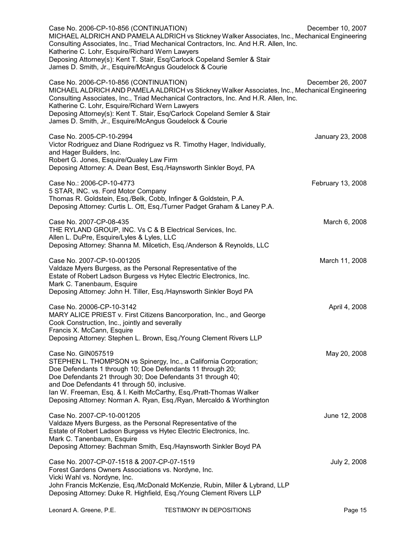| Case No. 2006-CP-10-856 (CONTINUATION)<br>MICHAEL ALDRICH AND PAMELA ALDRICH vs Stickney Walker Associates, Inc., Mechanical Engineering<br>Consulting Associates, Inc., Triad Mechanical Contractors, Inc. And H.R. Allen, Inc.<br>Katherine C. Lohr, Esquire/Richard Wern Lawyers<br>Deposing Attorney(s): Kent T. Stair, Esq/Carlock Copeland Semler & Stair<br>James D. Smith, Jr., Esquire/McAngus Goudelock & Courie | December 10, 2007 |
|----------------------------------------------------------------------------------------------------------------------------------------------------------------------------------------------------------------------------------------------------------------------------------------------------------------------------------------------------------------------------------------------------------------------------|-------------------|
| Case No. 2006-CP-10-856 (CONTINUATION)<br>MICHAEL ALDRICH AND PAMELA ALDRICH vs Stickney Walker Associates, Inc., Mechanical Engineering<br>Consulting Associates, Inc., Triad Mechanical Contractors, Inc. And H.R. Allen, Inc.<br>Katherine C. Lohr, Esquire/Richard Wern Lawyers<br>Deposing Attorney(s): Kent T. Stair, Esq/Carlock Copeland Semler & Stair<br>James D. Smith, Jr., Esquire/McAngus Goudelock & Courie | December 26, 2007 |
| Case No. 2005-CP-10-2994<br>Victor Rodriguez and Diane Rodriguez vs R. Timothy Hager, Individually,<br>and Hager Builders, Inc.<br>Robert G. Jones, Esquire/Qualey Law Firm<br>Deposing Attorney: A. Dean Best, Esq./Haynsworth Sinkler Boyd, PA                                                                                                                                                                           | January 23, 2008  |
| Case No.: 2006-CP-10-4773<br>5 STAR, INC. vs. Ford Motor Company<br>Thomas R. Goldstein, Esq./Belk, Cobb, Infinger & Goldstein, P.A.<br>Deposing Attorney: Curtis L. Ott, Esg./Turner Padget Graham & Laney P.A.                                                                                                                                                                                                           | February 13, 2008 |
| Case No. 2007-CP-08-435<br>THE RYLAND GROUP, INC. Vs C & B Electrical Services, Inc.<br>Allen L. DuPre, Esquire/Lyles & Lyles, LLC<br>Deposing Attorney: Shanna M. Milcetich, Esq./Anderson & Reynolds, LLC                                                                                                                                                                                                                | March 6, 2008     |
| Case No. 2007-CP-10-001205<br>Valdaze Myers Burgess, as the Personal Representative of the<br>Estate of Robert Ladson Burgess vs Hytec Electric Electronics, Inc.<br>Mark C. Tanenbaum, Esquire<br>Deposing Attorney: John H. Tiller, Esq./Haynsworth Sinkler Boyd PA                                                                                                                                                      | March 11, 2008    |
| Case No. 20006-CP-10-3142<br>MARY ALICE PRIEST v. First Citizens Bancorporation, Inc., and George<br>Cook Construction, Inc., jointly and severally<br>Francis X. McCann, Esquire<br>Deposing Attorney: Stephen L. Brown, Esq./Young Clement Rivers LLP                                                                                                                                                                    | April 4, 2008     |
| Case No. GIN057519<br>STEPHEN L. THOMPSON vs Spinergy, Inc., a California Corporation;<br>Doe Defendants 1 through 10; Doe Defendants 11 through 20;<br>Doe Defendants 21 through 30; Doe Defendants 31 through 40;<br>and Doe Defendants 41 through 50, inclusive.<br>Ian W. Freeman, Esq. & I. Keith McCarthy, Esq./Pratt-Thomas Walker<br>Deposing Attorney: Norman A. Ryan, Esq./Ryan, Mercaldo & Worthington          | May 20, 2008      |
| Case No. 2007-CP-10-001205<br>Valdaze Myers Burgess, as the Personal Representative of the<br>Estate of Robert Ladson Burgess vs Hytec Electric Electronics, Inc.<br>Mark C. Tanenbaum, Esquire<br>Deposing Attorney: Bachman Smith, Esq./Haynsworth Sinkler Boyd PA                                                                                                                                                       | June 12, 2008     |
| Case No. 2007-CP-07-1518 & 2007-CP-07-1519<br>Forest Gardens Owners Associations vs. Nordyne, Inc.<br>Vicki Wahl vs. Nordyne, Inc.                                                                                                                                                                                                                                                                                         | July 2, 2008      |

John Francis McKenzie, Esq./McDonald McKenzie, Rubin, Miller & Lybrand, LLP Deposing Attorney: Duke R. Highfield, Esq./Young Clement Rivers LLP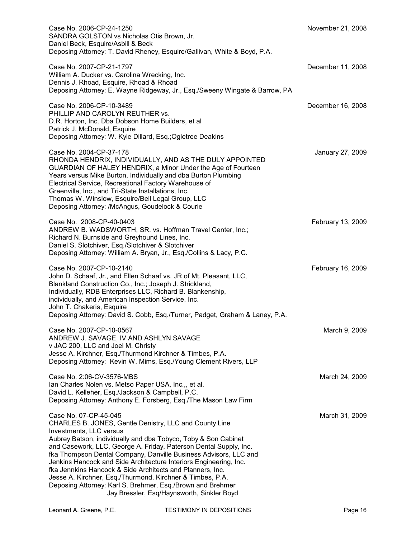| Case No. 2006-CP-24-1250<br>SANDRA GOLSTON vs Nicholas Otis Brown, Jr.<br>Daniel Beck, Esquire/Asbill & Beck<br>Deposing Attorney: T. David Rheney, Esquire/Gallivan, White & Boyd, P.A.                                                                                                                                                                                                                                                                                                                                                                                                                                         | November 21, 2008 |
|----------------------------------------------------------------------------------------------------------------------------------------------------------------------------------------------------------------------------------------------------------------------------------------------------------------------------------------------------------------------------------------------------------------------------------------------------------------------------------------------------------------------------------------------------------------------------------------------------------------------------------|-------------------|
| Case No. 2007-CP-21-1797<br>William A. Ducker vs. Carolina Wrecking, Inc.<br>Dennis J. Rhoad, Esquire, Rhoad & Rhoad<br>Deposing Attorney: E. Wayne Ridgeway, Jr., Esq./Sweeny Wingate & Barrow, PA                                                                                                                                                                                                                                                                                                                                                                                                                              | December 11, 2008 |
| Case No. 2006-CP-10-3489<br>PHILLIP AND CAROLYN REUTHER vs.<br>D.R. Horton, Inc. Dba Dobson Home Builders, et al<br>Patrick J. McDonald, Esquire<br>Deposing Attorney: W. Kyle Dillard, Esq.; Ogletree Deakins                                                                                                                                                                                                                                                                                                                                                                                                                   | December 16, 2008 |
| Case No. 2004-CP-37-178<br>RHONDA HENDRIX, INDIVIDUALLY, AND AS THE DULY APPOINTED<br>GUARDIAN OF HALEY HENDRIX, a Minor Under the Age of Fourteen<br>Years versus Mike Burton, Individually and dba Burton Plumbing<br>Electrical Service, Recreational Factory Warehouse of<br>Greenville, Inc., and Tri-State Installations, Inc.<br>Thomas W. Winslow, Esquire/Bell Legal Group, LLC<br>Deposing Attorney: /McAngus, Goudelock & Courie                                                                                                                                                                                      | January 27, 2009  |
| Case No. 2008-CP-40-0403<br>ANDREW B. WADSWORTH, SR. vs. Hoffman Travel Center, Inc.;<br>Richard N. Burnside and Greyhound Lines, Inc.<br>Daniel S. Slotchiver, Esq./Slotchiver & Slotchiver<br>Deposing Attorney: William A. Bryan, Jr., Esq./Collins & Lacy, P.C.                                                                                                                                                                                                                                                                                                                                                              | February 13, 2009 |
| Case No. 2007-CP-10-2140<br>John D. Schaaf, Jr., and Ellen Schaaf vs. JR of Mt. Pleasant, LLC,<br>Blankland Construction Co., Inc.; Joseph J. Strickland,<br>Individually, RDB Enterprises LLC, Richard B. Blankenship,<br>individually, and American Inspection Service, Inc.<br>John T. Chakeris, Esquire<br>Deposing Attorney: David S. Cobb, Esq./Turner, Padget, Graham & Laney, P.A.                                                                                                                                                                                                                                       | February 16, 2009 |
| Case No. 2007-CP-10-0567<br>ANDREW J. SAVAGE, IV AND ASHLYN SAVAGE<br>v JAC 200, LLC and Joel M. Christy<br>Jesse A. Kirchner, Esq./Thurmond Kirchner & Timbes, P.A.<br>Deposing Attorney: Kevin W. Mims, Esq./Young Clement Rivers, LLP                                                                                                                                                                                                                                                                                                                                                                                         | March 9, 2009     |
| Case No. 2:06-CV-3576-MBS<br>Ian Charles Nolen vs. Metso Paper USA, Inc.,, et al.<br>David L. Kelleher, Esq./Jackson & Campbell, P.C.<br>Deposing Attorney: Anthony E. Forsberg, Esq./The Mason Law Firm                                                                                                                                                                                                                                                                                                                                                                                                                         | March 24, 2009    |
| Case No. 07-CP-45-045<br>CHARLES B. JONES, Gentle Denistry, LLC and County Line<br>Investments, LLC versus<br>Aubrey Batson, individually and dba Tobyco, Toby & Son Cabinet<br>and Casework, LLC, George A. Friday, Paterson Dental Supply, Inc.<br>fka Thompson Dental Company, Danville Business Advisors, LLC and<br>Jenkins Hancock and Side Architecture Interiors Engineering, Inc.<br>fka Jennkins Hancock & Side Architects and Planners, Inc.<br>Jesse A. Kirchner, Esq./Thurmond, Kirchner & Timbes, P.A.<br>Deposing Attorney: Karl S. Brehmer, Esq./Brown and Brehmer<br>Jay Bressler, Esq/Haynsworth, Sinkler Boyd | March 31, 2009    |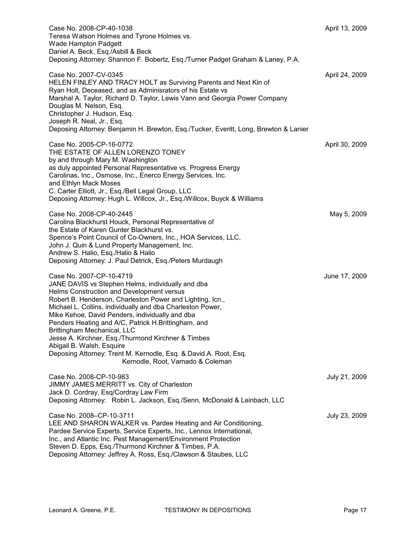| Case No. 2008-CP-40-1038<br>Teresa Watson Holmes and Tyrone Holmes vs.<br>Wade Hampton Padgett<br>Daniel A. Beck, Esq./Asbill & Beck<br>Deposing Attorney: Shannon F. Bobertz, Esq./Turner Padget Graham & Laney, P.A.                                                                                                                                                                                                                                                                                                                                                                     | April 13, 2009 |
|--------------------------------------------------------------------------------------------------------------------------------------------------------------------------------------------------------------------------------------------------------------------------------------------------------------------------------------------------------------------------------------------------------------------------------------------------------------------------------------------------------------------------------------------------------------------------------------------|----------------|
| Case No. 2007-CV-0345<br>HELEN FINLEY AND TRACY HOLT as Surviving Parents and Next Kin of<br>Ryan Holt, Deceased, and as Adminisrators of his Estate vs<br>Marshal A. Taylor, Richard D. Taylor, Lewis Vann and Georgia Power Company<br>Douglas M. Nelson, Esq.<br>Christopher J. Hudson, Esq.<br>Joseph R. Neal, Jr., Esq.<br>Deposing Attorney: Benjamin H. Brewton, Esq./Tucker, Everitt, Long, Brewton & Lanier                                                                                                                                                                       | April 24, 2009 |
| Case No. 2005-CP-16-0772<br>THE ESTATE OF ALLEN LORENZO TONEY<br>by and through Mary M. Washington<br>as duly appointed Personal Representative vs. Progress Energy<br>Carolinas, Inc., Osmose, Inc., Enerco Energy Services, Inc.<br>and Ethlyn Mack Moses<br>C. Carter Elliott, Jr., Esq./Bell Legal Group, LLC<br>Deposing Attorney: Hugh L. Willcox, Jr., Esq./Willcox, Buyck & Williams                                                                                                                                                                                               | April 30, 2009 |
| Case No. 2008-CP-40-2445<br>Carolina Blackhurst Houck, Personal Representative of<br>the Estate of Karen Gunter Blackhurst vs.<br>Spence's Point Council of Co-Owners, Inc., HOA Services, LLC,<br>John J. Quin & Lund Property Management, Inc.<br>Andrew S. Halio, Esq./Halio & Halio<br>Deposing Attorney: J. Paul Detrick, Esq./Peters Murdaugh                                                                                                                                                                                                                                        | May 5, 2009    |
| Case No. 2007-CP-10-4719<br>JANE DAVIS vs Stephen Helms, individually and dba<br>Helms Construction and Development versus<br>Robert B. Henderson, Charleston Power and Lighting, Icn.,<br>Michael L. Collins, individually and dba Charleston Power,<br>Mike Kehoe, David Penders, individually and dba<br>Penders Heating and A/C, Patrick H.Brittingham, and<br>Brittingham Mechanical, LLC<br>Jesse A. Kirchner, Esq./Thurmond Kirchner & Timbes<br>Abigail B. Walsh, Esquire<br>Deposing Attorney: Trent M. Kernodle, Esq. & David A. Root, Esq.<br>Kernodle, Root, Varnado & Coleman | June 17, 2009  |
| Case No. 2008-CP-10-983<br>JIMMY JAMES MERRITT vs. City of Charleston<br>Jack D. Cordray, Esq/Cordray Law Firm<br>Deposing Attorney: Robin L. Jackson, Esq./Senn, McDonald & Leinbach, LLC                                                                                                                                                                                                                                                                                                                                                                                                 | July 21, 2009  |
| Case No. 2008-CP-10-3711<br>LEE AND SHARON WALKER vs. Pardee Heating and Air Conditioning,<br>Pardee Service Experts, Service Experts, Inc., Lennox International,<br>Inc., and Atlantic Inc. Pest Management/Environment Protection<br>Steven D. Epps, Esq./Thurmond Kirchner & Timbes, P.A.<br>Deposing Attorney: Jeffrey A. Ross, Esq./Clawson & Staubes, LLC                                                                                                                                                                                                                           | July 23, 2009  |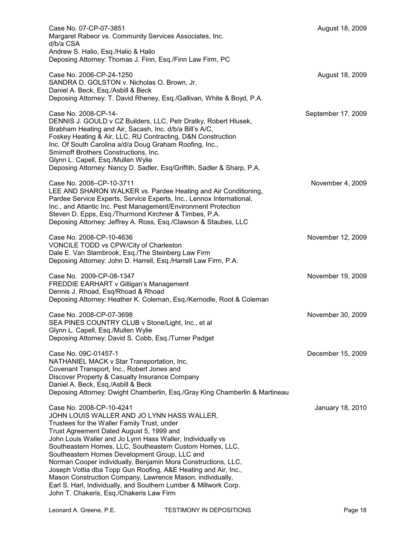| Case No. 07-CP-07-3851<br>Margaret Rabeor vs. Community Services Associates, Inc.<br>d/b/a CSA                                                                                                                                                                                                                                                                                                                                                                                                                                                                                                                                                               | August 18, 2009    |
|--------------------------------------------------------------------------------------------------------------------------------------------------------------------------------------------------------------------------------------------------------------------------------------------------------------------------------------------------------------------------------------------------------------------------------------------------------------------------------------------------------------------------------------------------------------------------------------------------------------------------------------------------------------|--------------------|
| Andrew S. Halio, Esq./Halio & Halio<br>Deposing Attorney: Thomas J. Finn, Esq./Finn Law Firm, PC                                                                                                                                                                                                                                                                                                                                                                                                                                                                                                                                                             |                    |
| Case No. 2006-CP-24-1250<br>SANDRA D. GOLSTON v. Nicholas O. Brown, Jr.<br>Daniel A. Beck, Esq./Asbill & Beck<br>Deposing Attorney: T. David Rheney, Esq./Gallivan, White & Boyd, P.A.                                                                                                                                                                                                                                                                                                                                                                                                                                                                       | August 18, 2009    |
| Case No. 2008-CP-14-<br>DENNIS J. GOULD v CZ Builders, LLC, Petr Dratky, Robert Hlusek,<br>Brabham Heating and Air, Sacash, Inc. d/b/a Bill's A/C,<br>Foskey Heating & Air, LLC, RU Contracting, D&N Construction<br>Inc. Of South Carolina a/d/a Doug Graham Roofing, Inc.,<br>Smirnoff Brothers Constructions, Inc.<br>Glynn L. Capell, Esq./Mullen Wylie<br>Deposing Attorney: Nancy D. Sadler, Esq/Griffith, Sadler & Sharp, P.A.                                                                                                                                                                                                                        | September 17, 2009 |
| Case No. 2008-CP-10-3711<br>LEE AND SHARON WALKER vs. Pardee Heating and Air Conditioning,<br>Pardee Service Experts, Service Experts, Inc., Lennox International,<br>Inc., and Atlantic Inc. Pest Management/Environment Protection<br>Steven D. Epps, Esq./Thurmond Kirchner & Timbes, P.A.<br>Deposing Attorney: Jeffrey A. Ross, Esq./Clawson & Staubes, LLC                                                                                                                                                                                                                                                                                             | November 4, 2009   |
| Case No. 2008-CP-10-4636<br>VONCILE TODD vs CPW/City of Charleston<br>Dale E. Van Slambrook, Esq./The Steinberg Law Firm<br>Deposing Attorney: John D. Harrell, Esq./Harrell Law Firm, P.A.                                                                                                                                                                                                                                                                                                                                                                                                                                                                  | November 12, 2009  |
| Case No. 2009-CP-08-1347<br>FREDDIE EARHART v Gilligan's Management<br>Dennis J. Rhoad, Esq/Rhoad & Rhoad<br>Deposing Attorney: Heather K. Coleman, Esq./Kernodle, Root & Coleman                                                                                                                                                                                                                                                                                                                                                                                                                                                                            | November 19, 2009  |
| Case No. 2008-CP-07-3698<br>SEA PINES COUNTRY CLUB v Stone/Light, Inc., et al.<br>Glynn L. Capell, Esq./Mullen Wylie<br>Deposing Attorney: David S. Cobb, Esq./Turner Padget                                                                                                                                                                                                                                                                                                                                                                                                                                                                                 | November 30, 2009  |
| Case No. 09C-01457-1<br>NATHANIEL MACK v Star Transportation, Inc,<br>Covenant Transport, Inc., Robert Jones and<br>Discover Property & Casualty Insurance Company<br>Daniel A. Beck, Esq./Asbill & Beck<br>Deposing Attorney: Dwight Chamberlin, Esq./Gray King Chamberlin & Martineau                                                                                                                                                                                                                                                                                                                                                                      | December 15, 2009  |
| Case No. 2008-CP-10-4241<br>JOHN LOUIS WALLER AND JO LYNN HASS WALLER,<br>Trustees for the Waller Family Trust, under<br>Trust Agreement Dated August 5, 1999 and<br>John Louis Waller and Jo Lynn Hass Waller, Individually vs<br>Southeastern Homes, LLC, Southeastern Custom Homes, LLC,<br>Southeastern Homes Development Group, LLC and<br>Norman Cooper individually, Benjamin Mora Constructions, LLC,<br>Joseph Vottia dba Topp Gun Roofing, A&E Heating and Air, Inc.,<br>Mason Construction Company, Lawrence Mason, individually,<br>Earl S. Harl, Individually, and Southern Lumber & Millwork Corp.<br>John T. Chakeris, Esq./Chakeris Law Firm | January 18, 2010   |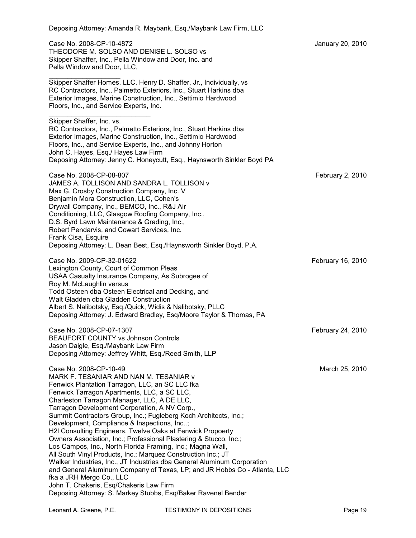| Deposing Attorney: Amanda R. Maybank, Esq./Maybank Law Firm, LLC                                                                                                                                                                                                                                                                                                                                                                                                                                                                                                                                                                                                                                                                                                                                                                                                                                                                                        |                   |
|---------------------------------------------------------------------------------------------------------------------------------------------------------------------------------------------------------------------------------------------------------------------------------------------------------------------------------------------------------------------------------------------------------------------------------------------------------------------------------------------------------------------------------------------------------------------------------------------------------------------------------------------------------------------------------------------------------------------------------------------------------------------------------------------------------------------------------------------------------------------------------------------------------------------------------------------------------|-------------------|
| Case No. 2008-CP-10-4872<br>THEODORE M. SOLSO AND DENISE L. SOLSO vs<br>Skipper Shaffer, Inc., Pella Window and Door, Inc. and<br>Pella Window and Door, LLC,                                                                                                                                                                                                                                                                                                                                                                                                                                                                                                                                                                                                                                                                                                                                                                                           | January 20, 2010  |
| Skipper Shaffer Homes, LLC, Henry D. Shaffer, Jr., Individually, vs<br>RC Contractors, Inc., Palmetto Exteriors, Inc., Stuart Harkins dba<br>Exterior Images, Marine Construction, Inc., Settimio Hardwood<br>Floors, Inc., and Service Experts, Inc.                                                                                                                                                                                                                                                                                                                                                                                                                                                                                                                                                                                                                                                                                                   |                   |
| Skipper Shaffer, Inc. vs.<br>RC Contractors, Inc., Palmetto Exteriors, Inc., Stuart Harkins dba<br>Exterior Images, Marine Construction, Inc., Settimio Hardwood<br>Floors, Inc., and Service Experts, Inc., and Johnny Horton<br>John C. Hayes, Esq./ Hayes Law Firm<br>Deposing Attorney: Jenny C. Honeycutt, Esq., Haynsworth Sinkler Boyd PA                                                                                                                                                                                                                                                                                                                                                                                                                                                                                                                                                                                                        |                   |
| Case No. 2008-CP-08-807<br>JAMES A. TOLLISON AND SANDRA L. TOLLISON v<br>Max G. Crosby Construction Company, Inc. V<br>Benjamin Mora Construction, LLC, Cohen's<br>Drywall Company, Inc., BEMCO, Inc., R&J Air<br>Conditioning, LLC, Glasgow Roofing Company, Inc.,<br>D.S. Byrd Lawn Maintenance & Grading, Inc.,<br>Robert Pendarvis, and Cowart Services, Inc.<br>Frank Cisa, Esquire<br>Deposing Attorney: L. Dean Best, Esq./Haynsworth Sinkler Boyd, P.A.                                                                                                                                                                                                                                                                                                                                                                                                                                                                                         | February 2, 2010  |
| Case No. 2009-CP-32-01622<br>Lexington County, Court of Common Pleas<br>USAA Casualty Insurance Company, As Subrogee of<br>Roy M. McLaughlin versus<br>Todd Osteen dba Osteen Electrical and Decking, and<br>Walt Gladden dba Gladden Construction<br>Albert S. Nalibotsky, Esq./Quick, Widis & Nalibotsky, PLLC<br>Deposing Attorney: J. Edward Bradley, Esq/Moore Taylor & Thomas, PA                                                                                                                                                                                                                                                                                                                                                                                                                                                                                                                                                                 | February 16, 2010 |
| Case No. 2008-CP-07-1307<br><b>BEAUFORT COUNTY vs Johnson Controls</b><br>Jason Daigle, Esq./Maybank Law Firm<br>Deposing Attorney: Jeffrey Whitt, Esq./Reed Smith, LLP                                                                                                                                                                                                                                                                                                                                                                                                                                                                                                                                                                                                                                                                                                                                                                                 | February 24, 2010 |
| Case No. 2008-CP-10-49<br>MARK F. TESANIAR AND NAN M. TESANIAR v<br>Fenwick Plantation Tarragon, LLC, an SC LLC fka<br>Fenwick Tarragon Apartments, LLC, a SC LLC,<br>Charleston Tarragon Manager, LLC, A DE LLC,<br>Tarragon Development Corporation, A NV Corp.,<br>Summit Contractors Group, Inc.; Fugleberg Koch Architects, Inc.;<br>Development, Compliance & Inspections, Inc;<br>H2I Consulting Engineers, Twelve Oaks at Fenwick Propoerty<br>Owners Association, Inc.; Professional Plastering & Stucco, Inc.;<br>Los Campos, Inc., North Florida Framing, Inc.; Magna Wall,<br>All South Vinyl Products, Inc.; Marquez Construction Inc.; JT<br>Walker Industries, Inc., JT Industries dba General Aluminum Corporation<br>and General Aluminum Company of Texas, LP; and JR Hobbs Co - Atlanta, LLC<br>fka a JRH Mergo Co., LLC<br>John T. Chakeris, Esq/Chakeris Law Firm<br>Deposing Attorney: S. Markey Stubbs, Esq/Baker Ravenel Bender | March 25, 2010    |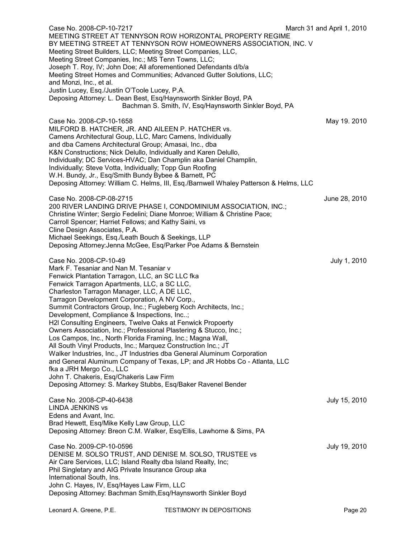| Case No. 2008-CP-10-7217<br>MEETING STREET AT TENNYSON ROW HORIZONTAL PROPERTY REGIME                                                                                                                                                                                                                                                                                                                                                                                                                                                                                                                                                                                                                                                                                                                                                                                                                                                                   | March 31 and April 1, 2010 |
|---------------------------------------------------------------------------------------------------------------------------------------------------------------------------------------------------------------------------------------------------------------------------------------------------------------------------------------------------------------------------------------------------------------------------------------------------------------------------------------------------------------------------------------------------------------------------------------------------------------------------------------------------------------------------------------------------------------------------------------------------------------------------------------------------------------------------------------------------------------------------------------------------------------------------------------------------------|----------------------------|
| BY MEETING STREET AT TENNYSON ROW HOMEOWNERS ASSOCIATION, INC. V<br>Meeting Street Builders, LLC; Meeting Street Companies, LLC,<br>Meeting Street Companies, Inc.; MS Tenn Towns, LLC;<br>Joseph T. Roy, IV; John Doe; All aforementioned Defendants d/b/a<br>Meeting Street Homes and Communities; Advanced Gutter Solutions, LLC;<br>and Monzi, Inc., et al.<br>Justin Lucey, Esq./Justin O'Toole Lucey, P.A.                                                                                                                                                                                                                                                                                                                                                                                                                                                                                                                                        |                            |
| Deposing Attorney: L. Dean Best, Esq/Haynsworth Sinkler Boyd, PA<br>Bachman S. Smith, IV, Esq/Haynsworth Sinkler Boyd, PA                                                                                                                                                                                                                                                                                                                                                                                                                                                                                                                                                                                                                                                                                                                                                                                                                               |                            |
| Case No. 2008-CP-10-1658<br>MILFORD B. HATCHER, JR. AND AILEEN P. HATCHER vs.<br>Camens Architectural Goup, LLC, Marc Camens, Individually<br>and dba Camens Architectural Group; Amasai, Inc., dba<br>K&N Constructions; Nick Delullo, Individually and Karen Delullo,<br>Individually; DC Services-HVAC; Dan Champlin aka Daniel Champlin,<br>Individually; Steve Votta, Individually; Topp Gun Roofing<br>W.H. Bundy, Jr., Esq/Smith Bundy Bybee & Barnett, PC<br>Deposing Attorney: William C. Helms, III, Esq./Barnwell Whaley Patterson & Helms, LLC                                                                                                                                                                                                                                                                                                                                                                                              | May 19. 2010               |
| Case No. 2008-CP-08-2715<br>200 RIVER LANDING DRIVE PHASE I, CONDOMINIUM ASSOCIATION, INC.;<br>Christine Winter; Sergio Fedelini; Diane Monroe; William & Christine Pace;<br>Carroll Spencer; Harriet Fellows; and Kathy Saini, vs<br>Cline Design Associates, P.A.<br>Michael Seekings, Esq./Leath Bouch & Seekings, LLP<br>Deposing Attorney: Jenna McGee, Esq/Parker Poe Adams & Bernstein                                                                                                                                                                                                                                                                                                                                                                                                                                                                                                                                                           | June 28, 2010              |
| Case No. 2008-CP-10-49<br>Mark F. Tesaniar and Nan M. Tesaniar v<br>Fenwick Plantation Tarragon, LLC, an SC LLC fka<br>Fenwick Tarragon Apartments, LLC, a SC LLC,<br>Charleston Tarragon Manager, LLC, A DE LLC,<br>Tarragon Development Corporation, A NV Corp.,<br>Summit Contractors Group, Inc.; Fugleberg Koch Architects, Inc.;<br>Development, Compliance & Inspections, Inc;<br>H2I Consulting Engineers, Twelve Oaks at Fenwick Propoerty<br>Owners Association, Inc.; Professional Plastering & Stucco, Inc.;<br>Los Campos, Inc., North Florida Framing, Inc.; Magna Wall,<br>All South Vinyl Products, Inc.; Marquez Construction Inc.; JT<br>Walker Industries, Inc., JT Industries dba General Aluminum Corporation<br>and General Aluminum Company of Texas, LP; and JR Hobbs Co - Atlanta, LLC<br>fka a JRH Mergo Co., LLC<br>John T. Chakeris, Esq/Chakeris Law Firm<br>Deposing Attorney: S. Markey Stubbs, Esq/Baker Ravenel Bender | July 1, 2010               |
| Case No. 2008-CP-40-6438<br><b>LINDA JENKINS vs</b><br>Edens and Avant, Inc.<br>Brad Hewett, Esq/Mike Kelly Law Group, LLC<br>Deposing Attorney: Breon C.M. Walker, Esq/Ellis, Lawhorne & Sims, PA                                                                                                                                                                                                                                                                                                                                                                                                                                                                                                                                                                                                                                                                                                                                                      | July 15, 2010              |
| Case No. 2009-CP-10-0596<br>DENISE M. SOLSO TRUST, AND DENISE M. SOLSO, TRUSTEE VS<br>Air Care Services, LLC; Island Realty dba Island Realty, Inc;<br>Phil Singletary and AIG Private Insurance Group aka<br>International South, Ins.<br>John C. Hayes, IV, Esq/Hayes Law Firm, LLC<br>Deposing Attorney: Bachman Smith, Esq/Haynsworth Sinkler Boyd                                                                                                                                                                                                                                                                                                                                                                                                                                                                                                                                                                                                  | July 19, 2010              |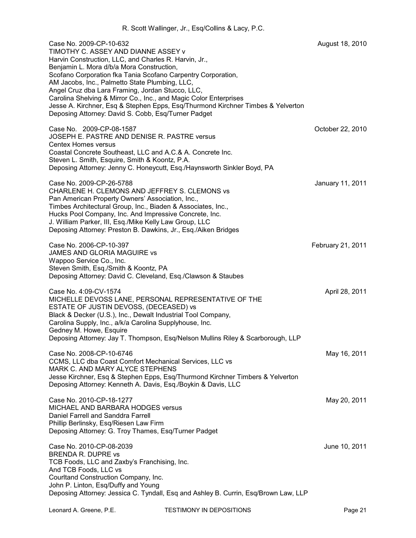| Case No. 2009-CP-10-632<br>TIMOTHY C. ASSEY AND DIANNE ASSEY v<br>Harvin Construction, LLC, and Charles R. Harvin, Jr.,<br>Benjamin L. Mora d/b/a Mora Construction,<br>Scofano Corporation fka Tania Scofano Carpentry Corporation,<br>AM Jacobs, Inc., Palmetto State Plumbing, LLC,<br>Angel Cruz dba Lara Framing, Jordan Stucco, LLC,<br>Carolina Shelving & Mirror Co., Inc., and Magic Color Enterprises<br>Jesse A. Kirchner, Esq & Stephen Epps, Esq/Thurmond Kirchner Timbes & Yelverton<br>Deposing Attorney: David S. Cobb, Esq/Turner Padget | August 18, 2010   |
|-----------------------------------------------------------------------------------------------------------------------------------------------------------------------------------------------------------------------------------------------------------------------------------------------------------------------------------------------------------------------------------------------------------------------------------------------------------------------------------------------------------------------------------------------------------|-------------------|
| Case No. 2009-CP-08-1587<br>JOSEPH E. PASTRE AND DENISE R. PASTRE versus<br><b>Centex Homes versus</b><br>Coastal Concrete Southeast, LLC and A.C.& A. Concrete Inc.<br>Steven L. Smith, Esquire, Smith & Koontz, P.A.<br>Deposing Attorney: Jenny C. Honeycutt, Esq./Haynsworth Sinkler Boyd, PA                                                                                                                                                                                                                                                         | October 22, 2010  |
| Case No. 2009-CP-26-5788<br>CHARLENE H. CLEMONS AND JEFFREY S. CLEMONS vs<br>Pan American Property Owners' Association, Inc.,<br>Timbes Architectural Group, Inc., Biaden & Associates, Inc.,<br>Hucks Pool Company, Inc. And Impressive Concrete, Inc.<br>J. William Parker, III, Esq./Mike Kelly Law Group, LLC<br>Deposing Attorney: Preston B. Dawkins, Jr., Esq./Aiken Bridges                                                                                                                                                                       | January 11, 2011  |
| Case No. 2006-CP-10-397<br>JAMES AND GLORIA MAGUIRE vs<br>Wappoo Service Co., Inc.<br>Steven Smith, Esq./Smith & Koontz, PA<br>Deposing Attorney: David C. Cleveland, Esq./Clawson & Staubes                                                                                                                                                                                                                                                                                                                                                              | February 21, 2011 |
| Case No. 4:09-CV-1574<br>MICHELLE DEVOSS LANE, PERSONAL REPRESENTATIVE OF THE<br>ESTATE OF JUSTIN DEVOSS, (DECEASED) vs<br>Black & Decker (U.S.), Inc., Dewalt Industrial Tool Company,<br>Carolina Supply, Inc., a/k/a Carolina Supplyhouse, Inc.<br>Gedney M. Howe, Esquire<br>Deposing Attorney: Jay T. Thompson, Esq/Nelson Mullins Riley & Scarborough, LLP                                                                                                                                                                                          | April 28, 2011    |
| Case No. 2008-CP-10-6746<br>CCMS, LLC dba Coast Comfort Mechanical Services, LLC vs<br>MARK C. AND MARY ALYCE STEPHENS<br>Jesse Kirchner, Esq & Stephen Epps, Esq/Thurmond Kirchner Timbers & Yelverton<br>Deposing Attorney: Kenneth A. Davis, Esq./Boykin & Davis, LLC                                                                                                                                                                                                                                                                                  | May 16, 2011      |
| Case No. 2010-CP-18-1277<br>MICHAEL AND BARBARA HODGES versus<br>Daniel Farrell and Sanddra Farrell<br>Phillip Berlinsky, Esq/Riesen Law Firm<br>Deposing Attorney: G. Troy Thames, Esq/Turner Padget                                                                                                                                                                                                                                                                                                                                                     | May 20, 2011      |
| Case No. 2010-CP-08-2039<br>BRENDA R. DUPRE vs<br>TCB Foods, LLC and Zaxby's Franchising, Inc.<br>And TCB Foods, LLC vs<br>Courltand Construction Company, Inc.<br>John P. Linton, Esq/Duffy and Young<br>Deposing Attorney: Jessica C. Tyndall, Esq and Ashley B. Currin, Esq/Brown Law, LLP                                                                                                                                                                                                                                                             | June 10, 2011     |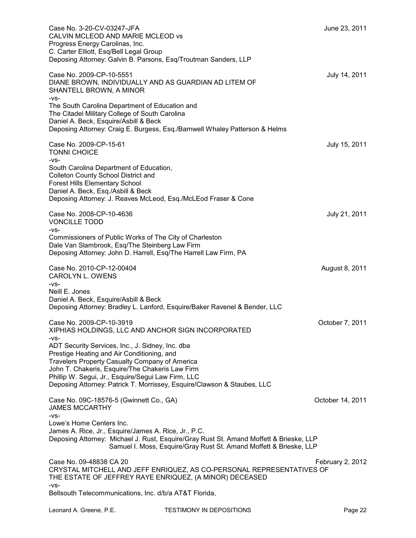| Case No. 3-20-CV-03247-JFA<br>CALVIN MCLEOD AND MARIE MCLEOD vs<br>Progress Energy Carolinas, Inc.<br>C. Carter Elliott, Esq/Bell Legal Group<br>Deposing Attorney: Galvin B. Parsons, Esq/Troutman Sanders, LLP                                                                                                                     | June 23, 2011    |
|--------------------------------------------------------------------------------------------------------------------------------------------------------------------------------------------------------------------------------------------------------------------------------------------------------------------------------------|------------------|
| Case No. 2009-CP-10-5551<br>DIANE BROWN, INDIVIDUALLY AND AS GUARDIAN AD LITEM OF<br>SHANTELL BROWN, A MINOR<br>-VS-                                                                                                                                                                                                                 | July 14, 2011    |
| The South Carolina Department of Education and<br>The Citadel Military College of South Carolina<br>Daniel A. Beck, Esquire/Asbill & Beck<br>Deposing Attorney: Craig E. Burgess, Esq./Barnwell Whaley Patterson & Helms                                                                                                             |                  |
| Case No. 2009-CP-15-61<br><b>TONNI CHOICE</b><br>-VS-                                                                                                                                                                                                                                                                                | July 15, 2011    |
| South Carolina Department of Education,<br>Colleton County School District and<br><b>Forest Hills Elementary School</b><br>Daniel A. Beck, Esq./Asbill & Beck<br>Deposing Attorney: J. Reaves McLeod, Esq./McLEod Fraser & Cone                                                                                                      |                  |
| Case No. 2008-CP-10-4636<br><b>VONCILLE TODD</b><br>-VS-                                                                                                                                                                                                                                                                             | July 21, 2011    |
| Commissioners of Public Works of The City of Charleston<br>Dale Van Slambrook, Esq/The Steinberg Law Firm<br>Deposing Attorney: John D. Harrell, Esq/The Harrell Law Firm, PA                                                                                                                                                        |                  |
| Case No. 2010-CP-12-00404<br><b>CAROLYN L. OWENS</b><br>-VS-                                                                                                                                                                                                                                                                         | August 8, 2011   |
| Neill E. Jones<br>Daniel A. Beck, Esquire/Asbill & Beck<br>Deposing Attorney: Bradley L. Lanford, Esquire/Baker Ravenel & Bender, LLC                                                                                                                                                                                                |                  |
| Case No. 2009-CP-10-3919<br>XIPHIAS HOLDINGS, LLC AND ANCHOR SIGN INCORPORATED<br>-VS-                                                                                                                                                                                                                                               | October 7, 2011  |
| ADT Security Services, Inc., J. Sidney, Inc. dba<br>Prestige Heating and Air Conditioning, and<br>Travelers Property Casualty Company of America<br>John T. Chakeris, Esquire/The Chakeris Law Firm<br>Phillip W. Segui, Jr., Esquire/Segui Law Firm, LLC<br>Deposing Attorney: Patrick T. Morrissey, Esquire/Clawson & Staubes, LLC |                  |
| Case No. 09C-18576-5 (Gwinnett Co., GA)<br><b>JAMES MCCARTHY</b><br>-VS-                                                                                                                                                                                                                                                             | October 14, 2011 |
| Lowe's Home Centers Inc.<br>James A. Rice, Jr., Esquire/James A. Rice, Jr., P.C.<br>Deposing Attorney: Michael J. Rust, Esquire/Gray Rust St. Amand Moffett & Brieske, LLP<br>Samuel I. Moss, Esquire/Gray Rust St. Amand Moffett & Brieske, LLP                                                                                     |                  |
| Case No. 09-48838 CA 20<br>CRYSTAL MITCHELL AND JEFF ENRIQUEZ, AS CO-PERSONAL REPRESENTATIVES OF<br>THE ESTATE OF JEFFREY RAYE ENRIQUEZ, (A MINOR) DECEASED                                                                                                                                                                          | February 2, 2012 |
| -VS-<br>Bellsouth Telecommunications, Inc. d/b/a AT&T Florida,                                                                                                                                                                                                                                                                       |                  |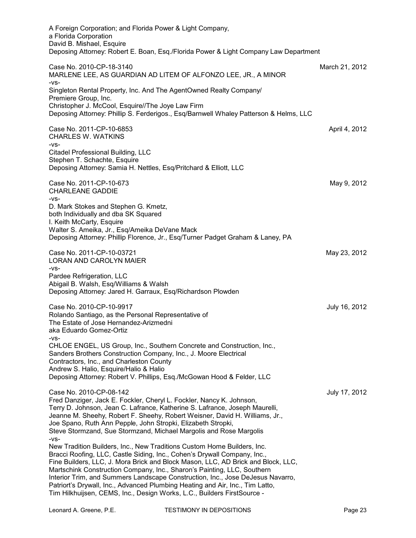| A Foreign Corporation; and Florida Power & Light Company,                                                                                                                                                                                                                                                                                                                                                                                                                                       |                |
|-------------------------------------------------------------------------------------------------------------------------------------------------------------------------------------------------------------------------------------------------------------------------------------------------------------------------------------------------------------------------------------------------------------------------------------------------------------------------------------------------|----------------|
| a Florida Corporation                                                                                                                                                                                                                                                                                                                                                                                                                                                                           |                |
| David B. Mishael, Esquire<br>Deposing Attorney: Robert E. Boan, Esq./Florida Power & Light Company Law Department                                                                                                                                                                                                                                                                                                                                                                               |                |
| Case No. 2010-CP-18-3140<br>MARLENE LEE, AS GUARDIAN AD LITEM OF ALFONZO LEE, JR., A MINOR<br>-VS-                                                                                                                                                                                                                                                                                                                                                                                              | March 21, 2012 |
| Singleton Rental Property, Inc. And The AgentOwned Realty Company/<br>Premiere Group, Inc.<br>Christopher J. McCool, Esquire//The Joye Law Firm                                                                                                                                                                                                                                                                                                                                                 |                |
| Deposing Attorney: Phillip S. Ferderigos., Esq/Barnwell Whaley Patterson & Helms, LLC                                                                                                                                                                                                                                                                                                                                                                                                           |                |
| Case No. 2011-CP-10-6853<br><b>CHARLES W. WATKINS</b>                                                                                                                                                                                                                                                                                                                                                                                                                                           | April 4, 2012  |
| $-VS-$<br>Citadel Professional Building, LLC<br>Stephen T. Schachte, Esquire<br>Deposing Attorney: Samia H. Nettles, Esq/Pritchard & Elliott, LLC                                                                                                                                                                                                                                                                                                                                               |                |
| Case No. 2011-CP-10-673<br><b>CHARLEANE GADDIE</b><br>$-VS-$                                                                                                                                                                                                                                                                                                                                                                                                                                    | May 9, 2012    |
| D. Mark Stokes and Stephen G. Kmetz,<br>both Individually and dba SK Squared<br>I. Keith McCarty, Esquire                                                                                                                                                                                                                                                                                                                                                                                       |                |
| Walter S. Ameika, Jr., Esq/Ameika DeVane Mack<br>Deposing Attorney: Phillip Florence, Jr., Esq/Turner Padget Graham & Laney, PA                                                                                                                                                                                                                                                                                                                                                                 |                |
| Case No. 2011-CP-10-03721<br>LORAN AND CAROLYN MAIER<br>$-VS-$                                                                                                                                                                                                                                                                                                                                                                                                                                  | May 23, 2012   |
| Pardee Refrigeration, LLC<br>Abigail B. Walsh, Esq/Williams & Walsh<br>Deposing Attorney: Jared H. Garraux, Esq/Richardson Plowden                                                                                                                                                                                                                                                                                                                                                              |                |
| Case No. 2010-CP-10-9917<br>Rolando Santiago, as the Personal Representative of<br>The Estate of Jose Hernandez-Arizmedni<br>aka Eduardo Gomez-Ortiz                                                                                                                                                                                                                                                                                                                                            | July 16, 2012  |
| -VS-<br>CHLOE ENGEL, US Group, Inc., Southern Concrete and Construction, Inc.,<br>Sanders Brothers Construction Company, Inc., J. Moore Electrical<br>Contractors, Inc., and Charleston County<br>Andrew S. Halio, Esquire/Halio & Halio                                                                                                                                                                                                                                                        |                |
| Deposing Attorney: Robert V. Phillips, Esq./McGowan Hood & Felder, LLC                                                                                                                                                                                                                                                                                                                                                                                                                          |                |
| Case No. 2010-CP-08-142<br>Fred Danziger, Jack E. Fockler, Cheryl L. Fockler, Nancy K. Johnson,<br>Terry D. Johnson, Jean C. Lafrance, Katherine S. Lafrance, Joseph Maurelli,<br>Jeanne M. Sheehy, Robert F. Sheehy, Robert Weisner, David H. Williams, Jr.,<br>Joe Spano, Ruth Ann Pepple, John Stropki, Elizabeth Stropki,                                                                                                                                                                   | July 17, 2012  |
| Steve Stormzand, Sue Stormzand, Michael Margolis and Rose Margolis                                                                                                                                                                                                                                                                                                                                                                                                                              |                |
| $-VS-$<br>New Tradition Builders, Inc., New Traditions Custom Home Builders, Inc.<br>Bracci Roofing, LLC, Castle Siding, Inc., Cohen's Drywall Company, Inc.,<br>Fine Builders, LLC, J. Mora Brick and Block Mason, LLC, AD Brick and Block, LLC,<br>Martschink Construction Company, Inc., Sharon's Painting, LLC, Southern<br>Interior Trim, and Summers Landscape Construction, Inc., Jose DeJesus Navarro,<br>Patriort's Drywall, Inc., Advanced Plumbing Heating and Air, Inc., Tim Latto, |                |
| Tim Hilkhuijsen, CEMS, Inc., Design Works, L.C., Builders FirstSource -                                                                                                                                                                                                                                                                                                                                                                                                                         |                |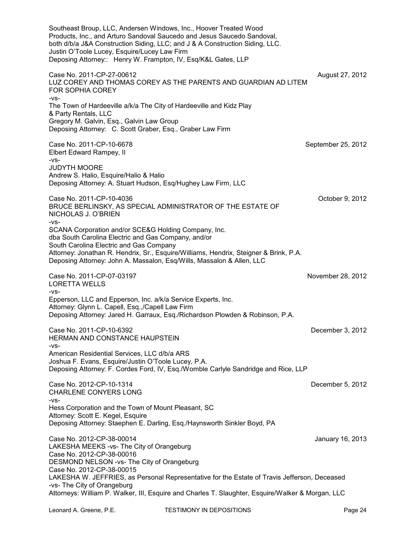Southeast Broup, LLC, Andersen Windows, Inc., Hoover Treated Wood Products, Inc., and Arturo Sandoval Saucedo and Jesus Saucedo Sandoval, both d/b/a J&A Construction Siding, LLC; and J & A Construction Siding, LLC. Justin O'Toole Lucey, Esquire/Lucey Law Firm Deposing Attorney:: Henry W. Frampton, IV, Esq/K&L Gates, LLP Case No. 2011-CP-27-00612 **August 27, 2012** August 27, 2012 LUZ COREY AND THOMAS COREY AS THE PARENTS AND GUARDIAN AD LITEM FOR SOPHIA COREY -vs-The Town of Hardeeville a/k/a The City of Hardeeville and Kidz Play & Party Rentals, LLC Gregory M. Galvin, Esq., Galvin Law Group Deposing Attorney: C. Scott Graber, Esq., Graber Law Firm Case No. 2011-CP-10-6678 September 25, 2012 Elbert Edward Rampey, II -vs-JUDYTH MOORE Andrew S. Halio, Esquire/Halio & Halio Deposing Attorney: A. Stuart Hudson, Esq/Hughey Law Firm, LLC Case No. 2011-CP-10-4036 October 9, 2012 BRUCE BERLINSKY, AS SPECIAL ADMINISTRATOR OF THE ESTATE OF NICHOLAS J. O'BRIEN -vs-SCANA Corporation and/or SCE&G Holding Company, Inc. dba South Carolina Electric and Gas Company, and/or South Carolina Electric and Gas Company Attorney: Jonathan R. Hendrix, Sr., Esquire/Williams, Hendrix, Steigner & Brink, P.A. Deposing Attorney: John A. Massalon, Esq/Wills, Massalon & Allen, LLC Case No. 2011-CP-07-03197 November 28, 2012 LORETTA WELLS  $-VS-$ Epperson, LLC and Epperson, Inc. a/k/a Service Experts, Inc. Attorney: Glynn L. Capell, Esq.,/Capell Law Firm Deposing Attorney: Jared H. Garraux, Esq./Richardson Plowden & Robinson, P.A. Case No. 2011-CP-10-6392 December 3, 2012 HERMAN AND CONSTANCE HAUPSTEIN -vs-American Residential Services, LLC d/b/a ARS Joshua F. Evans, Esquire/Justin O'Toole Lucey, P.A. Deposing Attorney: F. Cordes Ford, IV, Esq./Womble Carlyle Sandridge and Rice, LLP Case No. 2012-CP-10-1314 December 5, 2012 CHARLENE CONYERS LONG -vs-Hess Corporation and the Town of Mount Pleasant, SC Attorney: Scott E. Kegel, Esquire Deposing Attorney: Staephen E. Darling, Esq./Haynsworth Sinkler Boyd, PA Case No. 2012-CP-38-00014 January 16, 2013 LAKESHA MEEKS -vs- The City of Orangeburg Case No. 2012-CP-38-00016 DESMOND NELSON -vs- The City of Orangeburg Case No. 2012-CP-38-00015 LAKESHA W. JEFFRIES, as Personal Representative for the Estate of Travis Jefferson, Deceased -vs- The City of Orangeburg Attorneys: William P. Walker, III, Esquire and Charles T. Slaughter, Esquire/Walker & Morgan, LLC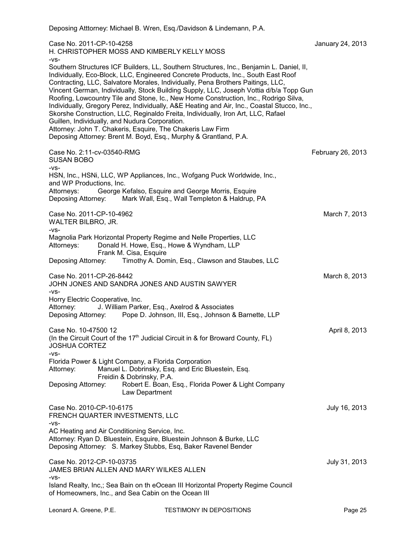| Case No. 2011-CP-10-4258<br>H. CHRISTOPHER MOSS AND KIMBERLY KELLY MOSS                                                                                                                                                                                                                                                                                                                                                                                                                                                                                                                                                                                                                         | January 24, 2013  |
|-------------------------------------------------------------------------------------------------------------------------------------------------------------------------------------------------------------------------------------------------------------------------------------------------------------------------------------------------------------------------------------------------------------------------------------------------------------------------------------------------------------------------------------------------------------------------------------------------------------------------------------------------------------------------------------------------|-------------------|
| -VS-<br>Southern Structures ICF Builders, LL, Southern Structures, Inc., Benjamin L. Daniel, II,<br>Individually, Eco-Block, LLC, Engineered Concrete Products, Inc., South East Roof<br>Contracting, LLC, Salvatore Morales, Individually, Pena Brothers Paitings, LLC,<br>Vincent German, Individually, Stock Building Supply, LLC, Joseph Vottia d/b/a Topp Gun<br>Roofing, Lowcountry Tile and Stone, Ic., New Home Construction, Inc., Rodrigo Silva,<br>Individually, Gregory Perez, Individually, A&E Heating and Air, Inc., Coastal Stucco, Inc.,<br>Skorshe Construction, LLC, Reginaldo Freita, Individually, Iron Art, LLC, Rafael<br>Guillen, Individually, and Nudura Corporation. |                   |
| Attorney: John T. Chakeris, Esquire, The Chakeris Law Firm<br>Deposing Attorney: Brent M. Boyd, Esq., Murphy & Grantland, P.A.                                                                                                                                                                                                                                                                                                                                                                                                                                                                                                                                                                  |                   |
| Case No. 2:11-cv-03540-RMG<br><b>SUSAN BOBO</b><br>-VS-                                                                                                                                                                                                                                                                                                                                                                                                                                                                                                                                                                                                                                         | February 26, 2013 |
| HSN, Inc., HSNi, LLC, WP Appliances, Inc., Wofgang Puck Worldwide, Inc.,<br>and WP Productions, Inc.<br>George Kefalso, Esquire and George Morris, Esquire<br>Attorneys:<br>Mark Wall, Esq., Wall Templeton & Haldrup, PA<br>Deposing Attorney:                                                                                                                                                                                                                                                                                                                                                                                                                                                 |                   |
| Case No. 2011-CP-10-4962<br>WALTER BILBRO, JR.                                                                                                                                                                                                                                                                                                                                                                                                                                                                                                                                                                                                                                                  | March 7, 2013     |
| -VS-<br>Magnolia Park Horizontal Property Regime and Nelle Properties, LLC<br>Attorneys:<br>Donald H. Howe, Esq., Howe & Wyndham, LLP<br>Frank M. Cisa, Esquire                                                                                                                                                                                                                                                                                                                                                                                                                                                                                                                                 |                   |
| Timothy A. Domin, Esq., Clawson and Staubes, LLC<br>Deposing Attorney:                                                                                                                                                                                                                                                                                                                                                                                                                                                                                                                                                                                                                          |                   |
| Case No. 2011-CP-26-8442<br>JOHN JONES AND SANDRA JONES AND AUSTIN SAWYER<br>-VS-                                                                                                                                                                                                                                                                                                                                                                                                                                                                                                                                                                                                               | March 8, 2013     |
| Horry Electric Cooperative, Inc.<br>J. William Parker, Esq., Axelrod & Associates<br>Attorney:<br>Deposing Attorney: Pope D. Johnson, III, Esq., Johnson & Barnette, LLP                                                                                                                                                                                                                                                                                                                                                                                                                                                                                                                        |                   |
| Case No. 10-47500 12<br>(In the Circuit Court of the $17th$ Judicial Circuit in & for Broward County, FL)<br><b>JOSHUA CORTEZ</b><br>-VS-                                                                                                                                                                                                                                                                                                                                                                                                                                                                                                                                                       | April 8, 2013     |
| Florida Power & Light Company, a Florida Corporation<br>Manuel L. Dobrinsky, Esq. and Eric Bluestein, Esq.<br>Attorney:<br>Freidin & Dobrinsky, P.A.                                                                                                                                                                                                                                                                                                                                                                                                                                                                                                                                            |                   |
| Deposing Attorney:<br>Robert E. Boan, Esq., Florida Power & Light Company<br>Law Department                                                                                                                                                                                                                                                                                                                                                                                                                                                                                                                                                                                                     |                   |
| Case No. 2010-CP-10-6175<br>FRENCH QUARTER INVESTMENTS, LLC<br>-VS-                                                                                                                                                                                                                                                                                                                                                                                                                                                                                                                                                                                                                             | July 16, 2013     |
| AC Heating and Air Conditioning Service, Inc.<br>Attorney: Ryan D. Bluestein, Esquire, Bluestein Johnson & Burke, LLC<br>Deposing Attorney: S. Markey Stubbs, Esq, Baker Ravenel Bender                                                                                                                                                                                                                                                                                                                                                                                                                                                                                                         |                   |
| Case No. 2012-CP-10-03735<br>JAMES BRIAN ALLEN AND MARY WILKES ALLEN<br>-VS-                                                                                                                                                                                                                                                                                                                                                                                                                                                                                                                                                                                                                    | July 31, 2013     |
| Island Realty, Inc,; Sea Bain on th eOcean III Horizontal Property Regime Council<br>of Homeowners, Inc., and Sea Cabin on the Ocean III                                                                                                                                                                                                                                                                                                                                                                                                                                                                                                                                                        |                   |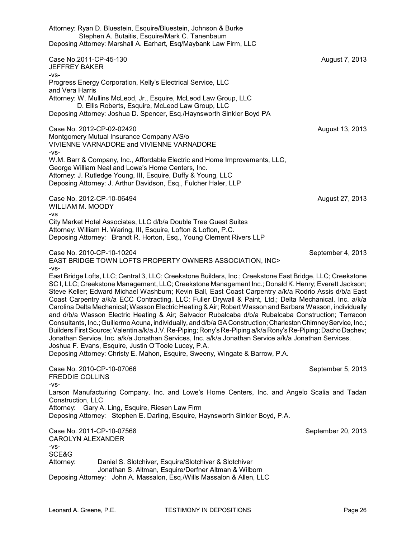Attorney: Ryan D. Bluestein, Esquire/Bluestein, Johnson & Burke Stephen A. Butaitis, Esquire/Mark C. Tanenbaum Deposing Attorney: Marshall A. Earhart, Esq/Maybank Law Firm, LLC Case No.2011-CP-45-130 August 7, 2013 JEFFREY BAKER -vs-Progress Energy Corporation, Kelly's Electrical Service, LLC and Vera Harris Attorney: W. Mullins McLeod, Jr., Esquire, McLeod Law Group, LLC D. Ellis Roberts, Esquire, McLeod Law Group, LLC Deposing Attorney: Joshua D. Spencer, Esq./Haynsworth Sinkler Boyd PA Case No. 2012-CP-02-02420 **August 13, 2013** Montgomery Mutual Insurance Company A/S/o VIVIENNE VARNADORE and VIVIENNE VARNADORE -vs-W.M. Barr & Company, Inc., Affordable Electric and Home Improvements, LLC, George William Neal and Lowe's Home Centers, Inc. Attorney: J. Rutledge Young, III, Esquire, Duffy & Young, LLC Deposing Attorney: J. Arthur Davidson, Esq., Fulcher Haler, LLP Case No. 2012-CP-10-06494 **August 27, 2013** WILLIAM M. MOODY -vs City Market Hotel Associates, LLC d/b/a Double Tree Guest Suites Attorney: William H. Waring, III, Esquire, Lofton & Lofton, P.C. Deposing Attorney: Brandt R. Horton, Esq., Young Clement Rivers LLP Case No. 2010-CP-10-10204 September 4, 2013 EAST BRIDGE TOWN LOFTS PROPERTY OWNERS ASSOCIATION, INC> -vs-East Bridge Lofts, LLC; Central 3, LLC; Creekstone Builders, Inc.; Creekstone East Bridge, LLC; Creekstone SC I, LLC; Creekstone Management, LLC; Creekstone Management Inc.; Donald K. Henry; Everett Jackson; Steve Keller; Edward Michael Washburn; Kevin Ball, East Coast Carpentry a/k/a Rodrio Assis d/b/a East Coast Carpentry a/k/a ECC Contracting, LLC; Fuller Drywall & Paint, Ltd.; Delta Mechanical, Inc. a/k/a Carolina Delta Mechanical; Wasson Electric Heating & Air; Robert Wasson and Barbara Wasson, individually and d/b/a Wasson Electric Heating & Air; Salvador Rubalcaba d/b/a Rubalcaba Construction; Terracon Consultants, Inc.; Guillermo Acuna, individually, and d/b/a GA Construction; CharlestonChimneyService, Inc.; Builders First Source; Valentin a/k/a J.V. Re-Piping; Rony's Re-Piping a/k/a Rony's Re-Piping; Dacho Dachev; Jonathan Service, Inc. a/k/a Jonathan Services, Inc. a/k/a Jonathan Service a/k/a Jonathan Services. Joshua F. Evans, Esquire, Justin O'Toole Lucey, P.A. Deposing Attorney: Christy E. Mahon, Esquire, Sweeny, Wingate & Barrow, P.A. Case No. 2010-CP-10-07066 September 5, 2013 FREDDIE COLLINS -vs-Larson Manufacturing Company, Inc. and Lowe's Home Centers, Inc. and Angelo Scalia and Tadan Construction, LLC Attorney: Gary A. Ling, Esquire, Riesen Law Firm Deposing Attorney: Stephen E. Darling, Esquire, Haynsworth Sinkler Boyd, P.A. Case No. 2011-CP-10-07568 September 20, 2013 CAROLYN ALEXANDER -vs-SCE&G Attorney: Daniel S. Slotchiver, Esquire/Slotchiver & Slotchiver Jonathan S. Altman, Esquire/Derfner Altman & Wilborn Deposing Attorney: John A. Massalon, Esq./Wills Massalon & Allen, LLC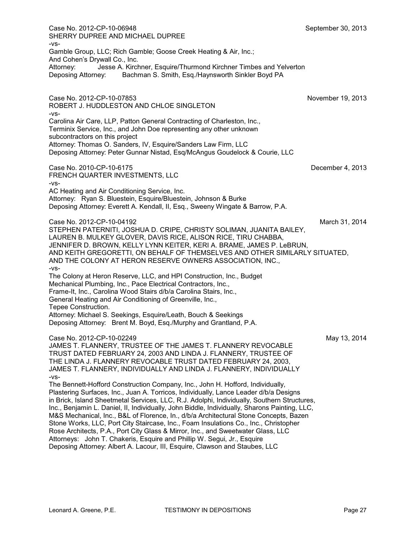Case No. 2012-CP-10-06948 September 30, 2013 SHERRY DUPREE AND MICHAEL DUPREE -vs-Gamble Group, LLC; Rich Gamble; Goose Creek Heating & Air, Inc.; And Cohen's Drywall Co., Inc.<br>Attorney: Jesse A. Kirch Jesse A. Kirchner, Esquire/Thurmond Kirchner Timbes and Yelverton Deposing Attorney: Bachman S. Smith, Esq./Haynsworth Sinkler Boyd PA Case No. 2012-CP-10-07853 November 19, 2013 ROBERT J. HUDDLESTON AND CHLOE SINGLETON -vs-Carolina Air Care, LLP, Patton General Contracting of Charleston, Inc., Terminix Service, Inc., and John Doe representing any other unknown subcontractors on this project Attorney: Thomas O. Sanders, IV, Esquire/Sanders Law Firm, LLC Deposing Attorney: Peter Gunnar Nistad, Esq/McAngus Goudelock & Courie, LLC Case No. 2010-CP-10-6175 December 4, 2013 FRENCH QUARTER INVESTMENTS, LLC -vs-AC Heating and Air Conditioning Service, Inc. Attorney: Ryan S. Bluestein, Esquire/Bluestein, Johnson & Burke Deposing Attorney: Everett A. Kendall, II, Esq., Sweeny Wingate & Barrow, P.A. Case No. 2012-CP-10-04192 March 31, 2014 STEPHEN PATERNITI, JOSHUA D. CRIPE, CHRISTY SOLIMAN, JUANITA BAILEY, LAUREN B. MULKEY GLOVER, DAVIS RICE, ALISON RICE, TIRU CHABBA, JENNIFER D. BROWN, KELLY LYNN KEITER, KERI A. BRAME, JAMES P. LeBRUN, AND KEITH GREGORETTI, ON BEHALF OF THEMSELVES AND OTHER SIMILARLY SITUATED, AND THE COLONY AT HERON RESERVE OWNERS ASSOCIATION, INC., -vs-The Colony at Heron Reserve, LLC, and HPI Construction, Inc., Budget Mechanical Plumbing, Inc., Pace Electrical Contractors, Inc., Frame-It, Inc., Carolina Wood Stairs d/b/a Carolina Stairs, Inc., General Heating and Air Conditioning of Greenville, Inc., Tepee Construction. Attorney: Michael S. Seekings, Esquire/Leath, Bouch & Seekings Deposing Attorney: Brent M. Boyd, Esq./Murphy and Grantland, P.A. Case No. 2012-CP-10-02249 May 13, 2014 JAMES T. FLANNERY, TRUSTEE OF THE JAMES T. FLANNERY REVOCABLE TRUST DATED FEBRUARY 24, 2003 AND LINDA J. FLANNERY, TRUSTEE OF THE LINDA J. FLANNERY REVOCABLE TRUST DATED FEBRUARY 24, 2003, JAMES T. FLANNERY, INDIVIDUALLY AND LINDA J. FLANNERY, INDIVIDUALLY -vs-The Bennett-Hofford Construction Company, Inc., John H. Hofford, Individually, Plastering Surfaces, Inc., Juan A. Torricos, Individually, Lance Leader d/b/a Designs in Brick, Island Sheetmetal Services, LLC, R.J. Adolphi, Individually, Southern Structures, Inc., Benjamin L. Daniel, II, Individually, John Biddle, Individually, Sharons Painting, LLC, M&S Mechanical, Inc., B&L of Florence, In., d/b/a Architectural Stone Concepts, Bazen Stone Works, LLC, Port City Staircase, Inc., Foam Insulations Co., Inc., Christopher Rose Architects, P.A., Port City Glass & Mirror, Inc., and Sweetwater Glass, LLC Attorneys: John T. Chakeris, Esquire and Phillip W. Segui, Jr., Esquire Deposing Attorney: Albert A. Lacour, III, Esquire, Clawson and Staubes, LLC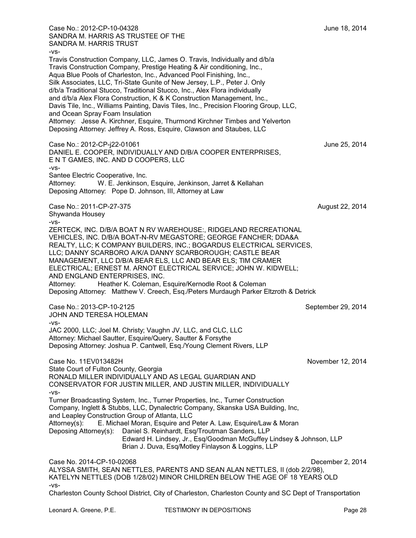Case No.: 2012-CP-10-04328 June 18, 2014 SANDRA M. HARRIS AS TRUSTEE OF THE SANDRA M. HARRIS TRUST -vs-Travis Construction Company, LLC, James O. Travis, Individually and d/b/a Travis Construction Company, Prestige Heating & Air conditioning, Inc., Aqua Blue Pools of Charleston, Inc., Advanced Pool Finishing, Inc., Silk Associates, LLC, Tri-State Gunite of New Jersey, L.P., Peter J. Only d/b/a Traditional Stucco, Traditional Stucco, Inc., Alex Flora individually and d/b/a Alex Flora Construction, K & K Construction Management, Inc., Davis Tile, Inc., Williams Painting, Davis Tiles, Inc., Precision Flooring Group, LLC, and Ocean Spray Foam Insulation Attorney: Jesse A. Kirchner, Esquire, Thurmond Kirchner Timbes and Yelverton Deposing Attorney: Jeffrey A. Ross, Esquire, Clawson and Staubes, LLC Case No.: 2012-CP-j22-01061 June 25, 2014 DANIEL E. COOPER, INDIVIDUALLY AND D/B/A COOPER ENTERPRISES, E N T GAMES, INC. AND D COOPERS, LLC -vs-Santee Electric Cooperative, Inc. Attorney: W. E. Jenkinson, Esquire, Jenkinson, Jarret & Kellahan Deposing Attorney: Pope D. Johnson, III, Attorney at Law Case No.: 2011-CP-27-375 **August 22, 2014** Shywanda Housey -vs-ZERTECK, INC. D/B/A BOAT N RV WAREHOUSE:, RIDGELAND RECREATIONAL VEHICLES, INC. D/B/A BOAT-N-RV MEGASTORE; GEORGE FANCHER; DDA&A REALTY, LLC; K COMPANY BUILDERS, INC.; BOGARDUS ELECTRICAL SERVICES, LLC; DANNY SCARBORO A/K/A DANNY SCARBOROUGH; CASTLE BEAR MANAGEMENT, LLC D/B/A BEAR ELS, LLC AND BEAR ELS; TIM CRAMER ELECTRICAL; ERNEST M. ARNOT ELECTRICAL SERVICE; JOHN W. KIDWELL; AND ENGLAND ENTERPRISES, INC. Attorney: Heather K. Coleman, Esquire/Kernodle Root & Coleman Deposing Attorney: Matthew V. Creech, Esq./Peters Murdaugh Parker Eltzroth & Detrick Case No.: 2013-CP-10-2125 September 29, 2014 JOHN AND TERESA HOLEMAN -vs-JAC 2000, LLC; Joel M. Christy; Vaughn JV, LLC, and CLC, LLC Attorney: Michael Sautter, Esquire/Query, Sautter & Forsythe Deposing Attorney: Joshua P. Cantwell, Esq./Young Clement Rivers, LLP Case No. 11EV013482H November 12, 2014 State Court of Fulton County, Georgia RONALD MILLER INDIVIDUALLY AND AS LEGAL GUARDIAN AND CONSERVATOR FOR JUSTIN MILLER, AND JUSTIN MILLER, INDIVIDUALLY -vs-Turner Broadcasting System, Inc., Turner Properties, Inc., Turner Construction Company, Inglett & Stubbs, LLC, Dynalectric Company, Skanska USA Building, Inc, and Leapley Construction Group of Atlanta, LLC Attorney(s): E. Michael Moran, Esquire and Peter A. Law, Esquire/Law & Moran Deposing Attorney(s): Daniel S. Reinhardt, Esq/Troutman Sanders, LLP Edward H. Lindsey, Jr., Esq/Goodman McGuffey Lindsey & Johnson, LLP Brian J. Duva, Esq/Motley Finlayson & Loggins, LLP Case No. 2014-CP-10-02068 December 2, 2014 ALYSSA SMITH, SEAN NETTLES, PARENTS AND SEAN ALAN NETTLES, II (dob 2/2/98), KATELYN NETTLES (DOB 1/28/02) MINOR CHILDREN BELOW THE AGE OF 18 YEARS OLD -vs-

Charleston County School District, City of Charleston, Charleston County and SC Dept of Transportation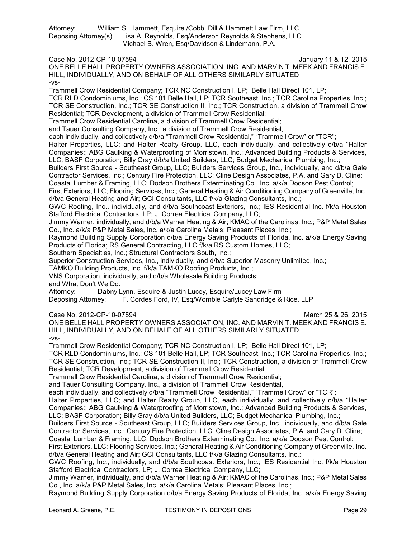Attorney: William S. Hammett, Esquire./Cobb, Dill & Hammett Law Firm, LLC Deposing Attorney(s) Lisa A. Reynolds, Esq/Anderson Reynolds & Stephens, LLC Michael B. Wren, Esq/Davidson & Lindemann, P.A.

Case No. 2012-CP-10-07594 January 11 & 12, 2015

ONE BELLE HALL PROPERTY OWNERS ASSOCIATION, INC. AND MARVIN T. MEEK AND FRANCIS E. HILL, INDIVIDUALLY, AND ON BEHALF OF ALL OTHERS SIMILARLY SITUATED -vs-

Trammell Crow Residential Company; TCR NC Construction I, LP; Belle Hall Direct 101, LP; TCR RLD Condominiums, Inc.; CS 101 Belle Hall, LP; TCR Southeast, Inc.; TCR Carolina Properties, Inc.; TCR SE Construction, Inc.; TCR SE Construction II, Inc.; TCR Construction, a division of Trammell Crow Residential; TCR Development, a division of Trammell Crow Residential;

Trammell Crow Residential Carolina, a division of Trammell Crow Residential;

and Tauer Consulting Company, Inc., a division of Trammell Crow Residential,

each individually, and collectively d/b/a "Trammell Crow Residential," "Trammell Crow" or "TCR";

Halter Properties, LLC; and Halter Realty Group, LLC, each individually, and collectively d/b/a "Halter Companies:; ABG Caulking & Waterproofing of Morristown, Inc.; Advanced Building Products & Services, LLC; BASF Corporation; Billy Gray d/b/a United Builders, LLC; Budget Mechanical Plumbing, Inc.;

Builders First Source - Southeast Group, LLC; Builders Services Group, Inc., individually, and d/b/a Gale Contractor Services, Inc.; Century Fire Protection, LLC; Cline Design Associates, P.A. and Gary D. Cline;

Coastal Lumber & Framing, LLC; Dodson Brothers Exterminating Co., Inc. a/k/a Dodson Pest Control;

First Exteriors, LLC; Flooring Services, Inc.; General Heating & Air Conditioning Company of Greenville, Inc. d/b/a General Heating and Air; GCI Consultants, LLC f/k/a Glazing Consultants, Inc.;

GWC Roofing, Inc., individually, and d/b/a Southcoast Exteriors, Inc.; IES Residential Inc. f/k/a Houston Stafford Electrical Contractors, LP; J. Correa Electrical Company, LLC;

Jimmy Warner, individually, and d/b/a Warner Heating & Air; KMAC of the Carolinas, Inc.; P&P Metal Sales Co., Inc. a/k/a P&P Metal Sales, Inc. a/k/a Carolina Metals; Pleasant Places, Inc.;

Raymond Building Supply Corporation d/b/a Energy Saving Products of Florida, Inc. a/k/a Energy Saving Products of Florida; RS General Contracting, LLC f/k/a RS Custom Homes, LLC;

Southern Specialties, Inc.; Structural Contractors South, Inc.;

Superior Construction Services, Inc., individually, and d/b/a Superior Masonry Unlimited, Inc.;

TAMKO Building Products, Inc. f/k/a TAMKO Roofing Products, Inc.;

VNS Corporation, individually, and d/b/a Wholesale Building Products;

and What Don't We Do.

Attorney: Dabny Lynn, Esquire & Justin Lucey, Esquire/Lucey Law Firm

Deposing Attorney: F. Cordes Ford, IV, Esq/Womble Carlyle Sandridge & Rice, LLP

Case No. 2012-CP-10-07594 **March 25 & 26, 2015** ONE BELLE HALL PROPERTY OWNERS ASSOCIATION, INC. AND MARVIN T. MEEK AND FRANCIS E. HILL, INDIVIDUALLY, AND ON BEHALF OF ALL OTHERS SIMILARLY SITUATED -vs-

Trammell Crow Residential Company; TCR NC Construction I, LP; Belle Hall Direct 101, LP;

TCR RLD Condominiums, Inc.; CS 101 Belle Hall, LP; TCR Southeast, Inc.; TCR Carolina Properties, Inc.; TCR SE Construction, Inc.; TCR SE Construction II, Inc.; TCR Construction, a division of Trammell Crow Residential; TCR Development, a division of Trammell Crow Residential;

Trammell Crow Residential Carolina, a division of Trammell Crow Residential;

and Tauer Consulting Company, Inc., a division of Trammell Crow Residential,

each individually, and collectively d/b/a "Trammell Crow Residential," "Trammell Crow" or "TCR";

Halter Properties, LLC; and Halter Realty Group, LLC, each individually, and collectively d/b/a "Halter Companies:; ABG Caulking & Waterproofing of Morristown, Inc.; Advanced Building Products & Services, LLC; BASF Corporation; Billy Gray d/b/a United Builders, LLC; Budget Mechanical Plumbing, Inc.;

Builders First Source - Southeast Group, LLC; Builders Services Group, Inc., individually, and d/b/a Gale Contractor Services, Inc.; Century Fire Protection, LLC; Cline Design Associates, P.A. and Gary D. Cline;

Coastal Lumber & Framing, LLC; Dodson Brothers Exterminating Co., Inc. a/k/a Dodson Pest Control;

First Exteriors, LLC; Flooring Services, Inc.; General Heating & Air Conditioning Company of Greenville, Inc. d/b/a General Heating and Air; GCI Consultants, LLC f/k/a Glazing Consultants, Inc.;

GWC Roofing, Inc., individually, and d/b/a Southcoast Exteriors, Inc.; IES Residential Inc. f/k/a Houston Stafford Electrical Contractors, LP; J. Correa Electrical Company, LLC;

Jimmy Warner, individually, and d/b/a Warner Heating & Air; KMAC of the Carolinas, Inc.; P&P Metal Sales Co., Inc. a/k/a P&P Metal Sales, Inc. a/k/a Carolina Metals; Pleasant Places, Inc.;

Raymond Building Supply Corporation d/b/a Energy Saving Products of Florida, Inc. a/k/a Energy Saving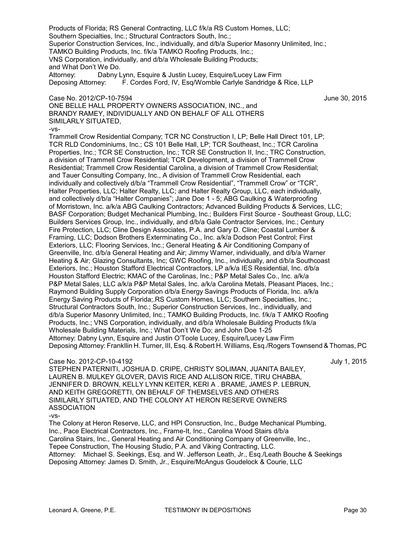Products of Florida; RS General Contracting, LLC f/k/a RS Custom Homes, LLC; Southern Specialties, Inc.; Structural Contractors South, Inc.; Superior Construction Services, Inc., individually, and d/b/a Superior Masonry Unlimited, Inc.; TAMKO Building Products, Inc. f/k/a TAMKO Roofing Products, Inc.; VNS Corporation, individually, and d/b/a Wholesale Building Products; and What Don't We Do. Attorney: Dabny Lynn, Esquire & Justin Lucey, Esquire/Lucey Law Firm Deposing Attorney: F. Cordes Ford, IV, Esq/Womble Carlyle Sandridge & Rice, LLP Case No. 2012/CP-10-7594 June 30, 2015 ONE BELLE HALL PROPERTY OWNERS ASSOCIATION, INC., and BRANDY RAMEY, INDIVIDUALLY AND ON BEHALF OF ALL OTHERS SIMILARLY SITUATED,  $-VS-$ Trammell Crow Residential Company; TCR NC Construction I, LP; Belle Hall Direct 101, LP; TCR RLD Condominiums, Inc.; CS 101 Belle Hall, LP; TCR Southeast, Inc.; TCR Carolina Properties, Inc.; TCR SE Construction, Inc.; TCR SE Construction II, Inc.; TRC Construction, a division of Trammell Crow Residential; TCR Development, a division of Trammell Crow Residential; Trammell Crow Residential Carolina, a division of Trammell Crow Residential; and Tauer Consulting Company, Inc., A division of Trammell Crow Residential, each individually and collectively d/b/a "Trammell Crow Residential", "Trammell Crow" or "TCR", Halter Properties, LLC; Halter Realty, LLC; and Halter Realty Group, LLC, each individually, and collectively d/b/a "Halter Companies"; Jane Doe 1 - 5; ABG Caulking & Waterproofing of Morristown, Inc. a/k/a ABG Caulking Contractors; Advanced Building Products & Services, LLC; BASF Corporation; Budget Mechanical Plumbing, Inc.; Builders First Source - Southeast Group, LLC; Builders Services Group, Inc., individually, and d/b/a Gale Contractor Services, Inc.; Century Fire Protection, LLC; Cline Design Associates, P.A. and Gary D. Cline; Coastal Lumber & Framing, LLC; Dodson Brothers Exterminating Co., Inc. a/k/a Dodson Pest Control; First Exteriors, LLC; Flooring Services, Inc.; General Heating & Air Conditioning Company of Greenville, Inc. d/b/a General Heating and Air; Jimmy Warner, individually, and d/b/a Warner Heating & Air; Glazing Consultants, Inc; GWC Roofing, Inc., individually, and d/b/a Southcoast Exteriors, Inc.; Houston Stafford Electrical Contractors, LP a/k/a IES Residential, Inc. d/b/a Houston Stafford Electric; KMAC of the Carolinas, Inc.; P&P Metal Sales Co., Inc. a/k/a P&P Metal Sales, LLC a/k/a P&P Metal Sales, Inc. a/k/a Carolina Metals, Pleasant Places, Inc.; Raymond Building Supply Corporation d/b/a Energy Savings Products of Florida, Inc. a/k/a Energy Saving Products of Florida;.RS Custom Homes, LLC; Southern Specialties, Inc.; Structural Contractors South, Inc.; Superior Construction Services, Inc., individually, and d/b/a Superior Masonry Unlimited, Inc.; TAMKO Building Products, Inc. f/k/a T AMKO Roofing Products, Inc.; VNS Corporation, individually, and d/b/a Wholesale Building Products f/k/a Wholesale Building Materials, Inc.; What Don't We Do; and John Doe 1-25 Attorney: Dabny Lynn, Esquire and Justin O'Toole Lucey, Esquire/Lucey Law Firm Deposing Attorney: Frankllin H. Turner, III, Esq. & Robert H. Williams, Esq./Rogers Townsend & Thomas, PC

## Case No. 2012-CP-10-4192 July 1, 2015

STEPHEN PATERNITI, JOSHUA D. CRIPE, CHRISTY SOLIMAN, JUANITA BAILEY, LAUREN B. MULKEY GLOVER, DAVIS RICE AND ALLISON RICE, TIRU CHABBA, JENNIFER D. BROWN, KELLY LYNN KEITER, KERI A . BRAME, JAMES P. LEBRUN, AND KEITH GREGORETTI, ON BEHALF OF THEMSELVES AND OTHERS SIMILARLY SITUATED, AND THE COLONY AT HERON RESERVE OWNERS ASSOCIATION

-vs-

The Colony at Heron Reserve, LLC, and HPI Consruction, Inc., Budge Mechanical Plumbing, Inc., Pace Electrical Contractors, Inc., Frame-It, Inc., Carolina Wood Stairs d/b/a Carolina Stairs, Inc., General Heating and Air Conditioning Company of Greenville, Inc., Tepee Construction, The Housing Studio, P.A. and Viking Contracting, LLC. Attorney: Michael S. Seekings, Esq. and W. Jefferson Leath, Jr., Esq./Leath Bouche & Seekings Deposing Attorney: James D. Smith, Jr., Esquire/McAngus Goudelock & Courie, LLC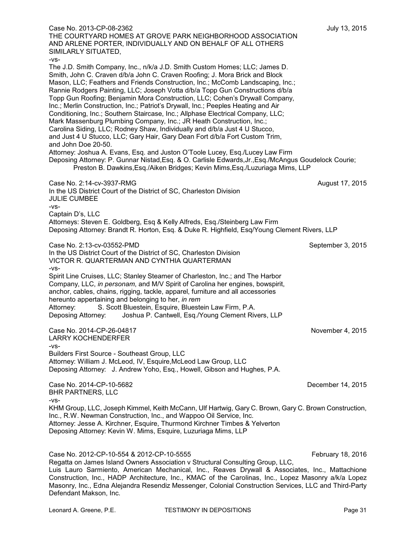| Case No. 2013-CP-08-2362<br>THE COURTYARD HOMES AT GROVE PARK NEIGHBORHOOD ASSOCIATION<br>AND ARLENE PORTER, INDIVIDUALLY AND ON BEHALF OF ALL OTHERS<br>SIMILARLY SITUATED,<br>-VS-                                                                                                                                                                                                                                                                                                                                                                                                                                                                                                                                                                                                                                                                                                                                             | July 13, 2015     |
|----------------------------------------------------------------------------------------------------------------------------------------------------------------------------------------------------------------------------------------------------------------------------------------------------------------------------------------------------------------------------------------------------------------------------------------------------------------------------------------------------------------------------------------------------------------------------------------------------------------------------------------------------------------------------------------------------------------------------------------------------------------------------------------------------------------------------------------------------------------------------------------------------------------------------------|-------------------|
| The J.D. Smith Company, Inc., n/k/a J.D. Smith Custom Homes; LLC; James D.<br>Smith, John C. Craven d/b/a John C. Craven Roofing; J. Mora Brick and Block<br>Mason, LLC; Feathers and Friends Construction, Inc.; McComb Landscaping, Inc.;<br>Rannie Rodgers Painting, LLC; Joseph Votta d/b/a Topp Gun Constructions d/b/a<br>Topp Gun Roofing; Benjamin Mora Construction, LLC; Cohen's Drywall Company,<br>Inc.; Merlin Construction, Inc.; Patriot's Drywall, Inc.; Peeples Heating and Air<br>Conditioning, Inc.; Southern Staircase, Inc.; Allphase Electrical Company, LLC;<br>Mark Massenburg Plumbing Company, Inc.; JR Heath Construction, Inc.;<br>Carolina Siding, LLC; Rodney Shaw, Individually and d/b/a Just 4 U Stucco,<br>and Just 4 U Stucco, LLC; Gary Hair, Gary Dean Fort d/b/a Fort Custom Trim,<br>and John Doe 20-50.<br>Attorney: Joshua A. Evans, Esq. and Juston O'Toole Lucey, Esq./Lucey Law Firm |                   |
| Deposing Attorney: P. Gunnar Nistad, Esq. & O. Carlisle Edwards, Jr., Esq./McAngus Goudelock Courie;<br>Preston B. Dawkins, Esq./Aiken Bridges; Kevin Mims, Esq./Luzuriaga Mims, LLP                                                                                                                                                                                                                                                                                                                                                                                                                                                                                                                                                                                                                                                                                                                                             |                   |
| Case No. 2:14-cv-3937-RMG<br>In the US District Court of the District of SC, Charleston Division<br><b>JULIE CUMBEE</b><br>-VS-                                                                                                                                                                                                                                                                                                                                                                                                                                                                                                                                                                                                                                                                                                                                                                                                  | August 17, 2015   |
| Captain D's, LLC<br>Attorneys: Steven E. Goldberg, Esq & Kelly Alfreds, Esq./Steinberg Law Firm<br>Deposing Attorney: Brandt R. Horton, Esq. & Duke R. Highfield, Esq/Young Clement Rivers, LLP                                                                                                                                                                                                                                                                                                                                                                                                                                                                                                                                                                                                                                                                                                                                  |                   |
| Case No. 2:13-cv-03552-PMD<br>In the US District Court of the District of SC, Charleston Division<br>VICTOR R. QUARTERMAN AND CYNTHIA QUARTERMAN<br>-VS-                                                                                                                                                                                                                                                                                                                                                                                                                                                                                                                                                                                                                                                                                                                                                                         | September 3, 2015 |
| Spirit Line Cruises, LLC; Stanley Steamer of Charleston, Inc.; and The Harbor<br>Company, LLC, in personam, and M/V Spirit of Carolina her engines, bowspirit,<br>anchor, cables, chains, rigging, tackle, apparel, furniture and all accessories<br>hereunto appertaining and belonging to her, in rem<br>S. Scott Bluestein, Esquire, Bluestein Law Firm, P.A.<br>Attorney:<br>Deposing Attorney:<br>Joshua P. Cantwell, Esq./Young Clement Rivers, LLP                                                                                                                                                                                                                                                                                                                                                                                                                                                                        |                   |
| Case No. 2014-CP-26-04817<br><b>LARRY KOCHENDERFER</b>                                                                                                                                                                                                                                                                                                                                                                                                                                                                                                                                                                                                                                                                                                                                                                                                                                                                           | November 4, 2015  |
| -VS-<br>Builders First Source - Southeast Group, LLC<br>Attorney: William J. McLeod, IV, Esquire, McLeod Law Group, LLC<br>Deposing Attorney: J. Andrew Yoho, Esq., Howell, Gibson and Hughes, P.A.                                                                                                                                                                                                                                                                                                                                                                                                                                                                                                                                                                                                                                                                                                                              |                   |
| Case No. 2014-CP-10-5682<br><b>BHR PARTNERS, LLC</b>                                                                                                                                                                                                                                                                                                                                                                                                                                                                                                                                                                                                                                                                                                                                                                                                                                                                             | December 14, 2015 |
| -VS-<br>KHM Group, LLC, Joseph Kimmel, Keith McCann, Ulf Hartwig, Gary C. Brown, Gary C. Brown Construction,<br>Inc., R.W. Newman Construction, Inc., and Wappoo Oil Service, Inc.<br>Attorney: Jesse A. Kirchner, Esquire, Thurmond Kirchner Timbes & Yelverton<br>Deposing Attorney: Kevin W. Mims, Esquire, Luzuriaga Mims, LLP                                                                                                                                                                                                                                                                                                                                                                                                                                                                                                                                                                                               |                   |
| Case No. 2012-CP-10-554 & 2012-CP-10-5555<br>Regatta on James Island Owners Association v Structural Consulting Group, LLC,<br>Luis Lauro Sarmiento, American Mechanical, Inc., Reaves Drywall & Associates, Inc., Mattachione<br>$\sim$ UADD Architecture, Inc., ICMAC of the Corolinee, Inc., Long Measury                                                                                                                                                                                                                                                                                                                                                                                                                                                                                                                                                                                                                     | February 18, 2016 |

Construction, Inc., HADP Architecture, Inc., KMAC of the Carolinas, Inc., Lopez Masonry a/k/a Lopez Masonry, Inc., Edna Alejandra Resendiz Messenger, Colonial Construction Services, LLC and Third-Party Defendant Makson, Inc.